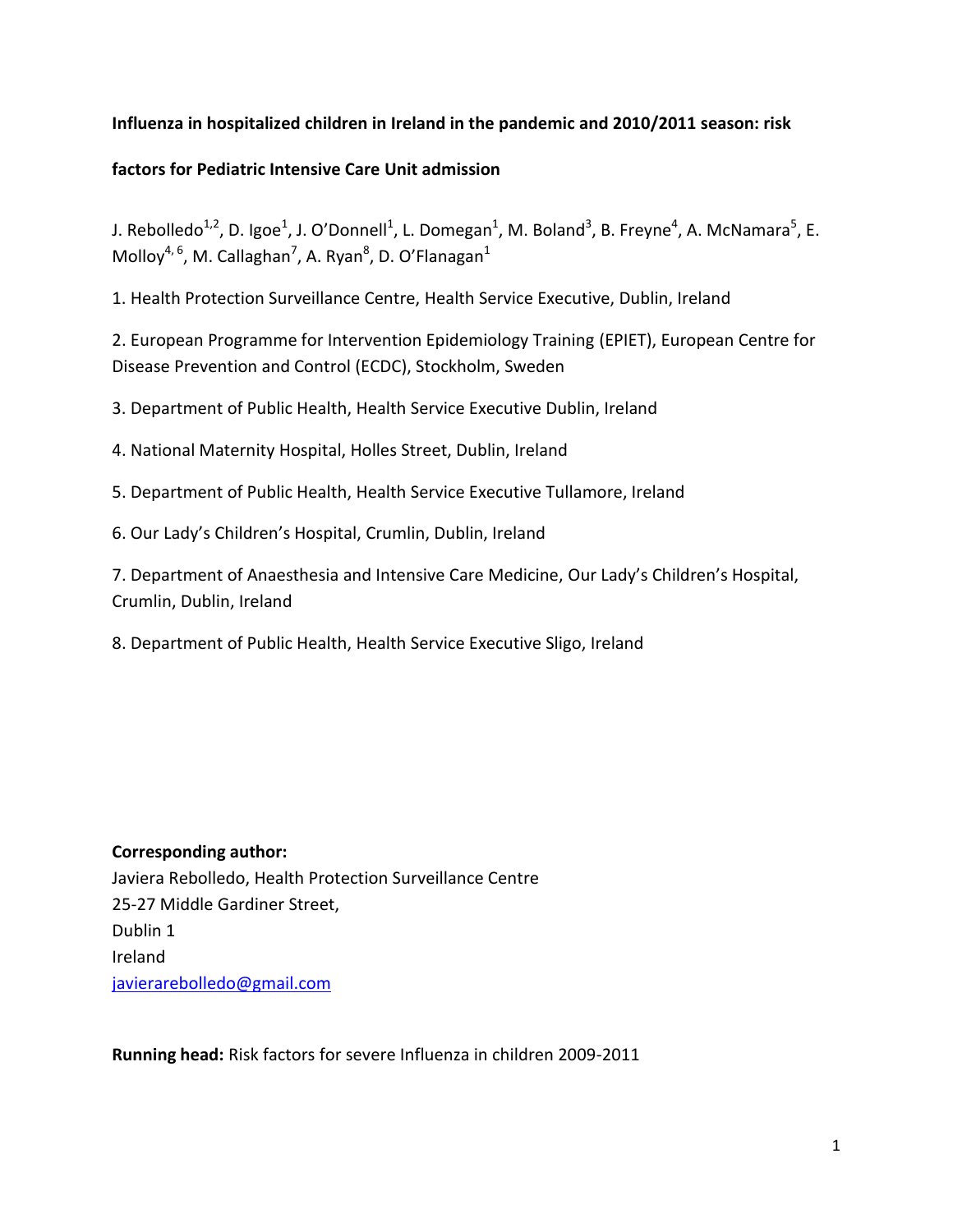# **Influenza in hospitalized children in Ireland in the pandemic and 2010/2011 season: risk**

# **factors for Pediatric Intensive Care Unit admission**

J. Rebolledo<sup>1,2</sup>, D. Igoe<sup>1</sup>, J. O'Donnell<sup>1</sup>, L. Domegan<sup>1</sup>, M. Boland<sup>3</sup>, B. Freyne<sup>4</sup>, A. McNamara<sup>5</sup>, E. Molloy<sup>4, 6</sup>, M. Callaghan<sup>7</sup>, A. Ryan<sup>8</sup>, D. O'Flanagan<sup>1</sup>

1. Health Protection Surveillance Centre, Health Service Executive, Dublin, Ireland

2. European Programme for Intervention Epidemiology Training (EPIET), European Centre for Disease Prevention and Control (ECDC), Stockholm, Sweden

3. Department of Public Health, Health Service Executive Dublin, Ireland

4. National Maternity Hospital, Holles Street, Dublin, Ireland

5. Department of Public Health, Health Service Executive Tullamore, Ireland

6. Our Lady's Children's Hospital, Crumlin, Dublin, Ireland

7. Department of Anaesthesia and Intensive Care Medicine, Our Lady's Children's Hospital, Crumlin, Dublin, Ireland

8. Department of Public Health, Health Service Executive Sligo, Ireland

# **Corresponding author:**

Javiera Rebolledo, Health Protection Surveillance Centre 25-27 Middle Gardiner Street, Dublin 1 Ireland [javierarebolledo@gmail.com](mailto:derval.igoe@hse.ie)

**Running head:** Risk factors for severe Influenza in children 2009-2011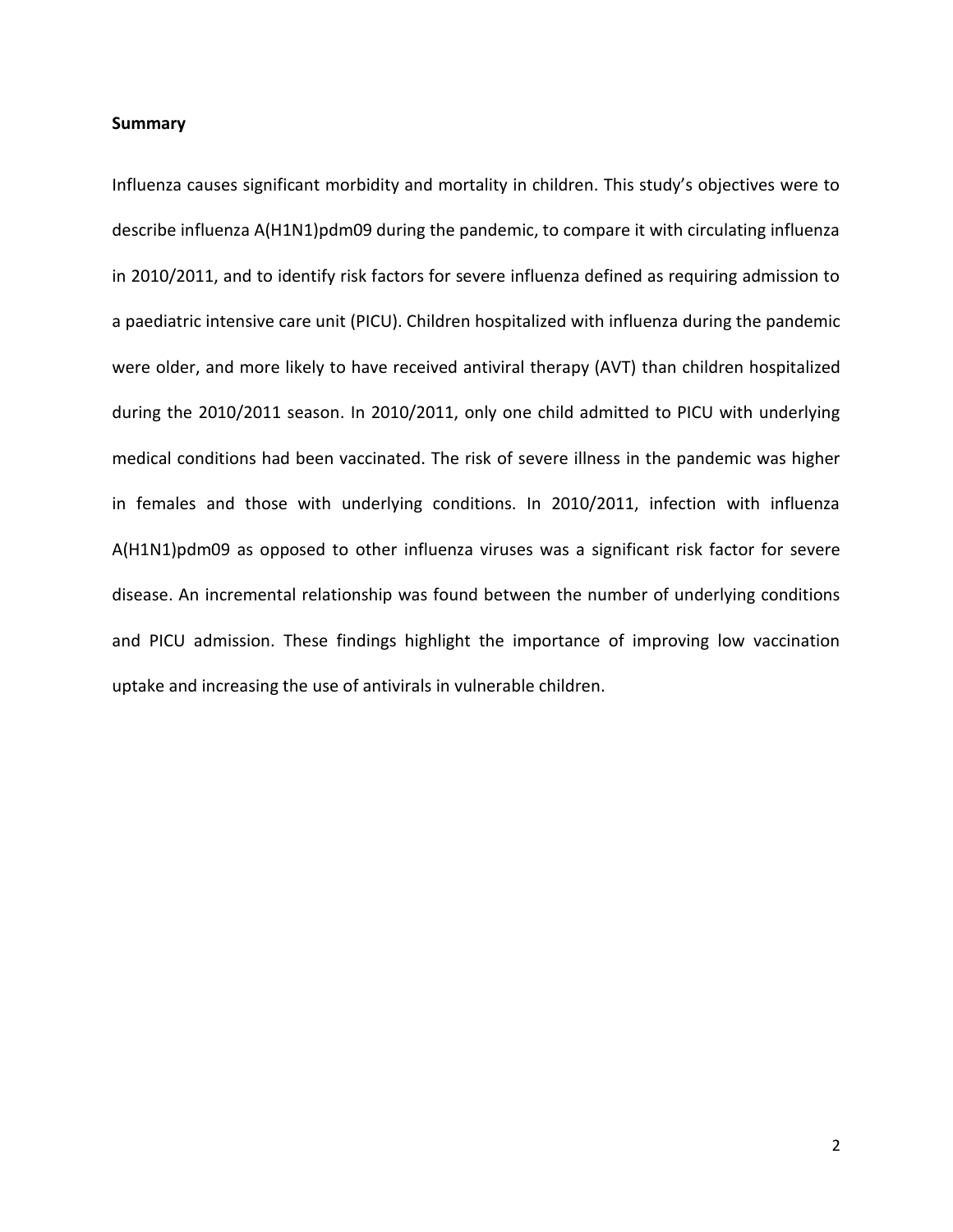#### **Summary**

Influenza causes significant morbidity and mortality in children. This study's objectives were to describe influenza A(H1N1)pdm09 during the pandemic, to compare it with circulating influenza in 2010/2011, and to identify risk factors for severe influenza defined as requiring admission to a paediatric intensive care unit (PICU). Children hospitalized with influenza during the pandemic were older, and more likely to have received antiviral therapy (AVT) than children hospitalized during the 2010/2011 season. In 2010/2011, only one child admitted to PICU with underlying medical conditions had been vaccinated. The risk of severe illness in the pandemic was higher in females and those with underlying conditions. In 2010/2011, infection with influenza A(H1N1)pdm09 as opposed to other influenza viruses was a significant risk factor for severe disease. An incremental relationship was found between the number of underlying conditions and PICU admission. These findings highlight the importance of improving low vaccination uptake and increasing the use of antivirals in vulnerable children.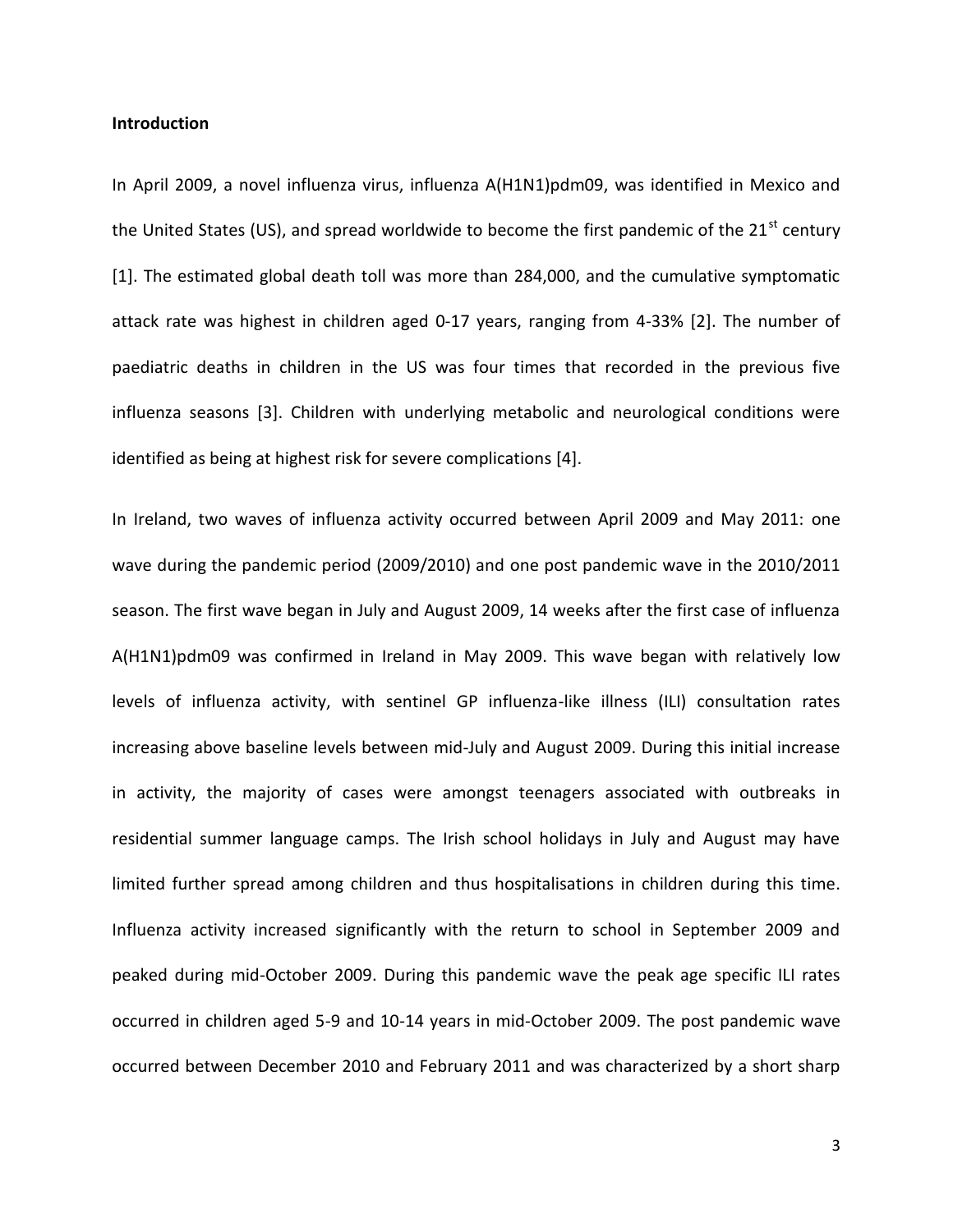# **Introduction**

In April 2009, a novel influenza virus, influenza A(H1N1)pdm09, was identified in Mexico and the United States (US), and spread worldwide to become the first pandemic of the  $21<sup>st</sup>$  century [1]. The estimated global death toll was more than 284,000, and the cumulative symptomatic attack rate was highest in children aged 0-17 years, ranging from 4-33% [2]. The number of paediatric deaths in children in the US was four times that recorded in the previous five influenza seasons [3]. Children with underlying metabolic and neurological conditions were identified as being at highest risk for severe complications [4].

In Ireland, two waves of influenza activity occurred between April 2009 and May 2011: one wave during the pandemic period (2009/2010) and one post pandemic wave in the 2010/2011 season. The first wave began in July and August 2009, 14 weeks after the first case of influenza A(H1N1)pdm09 was confirmed in Ireland in May 2009. This wave began with relatively low levels of influenza activity, with sentinel GP influenza-like illness (ILI) consultation rates increasing above baseline levels between mid-July and August 2009. During this initial increase in activity, the majority of cases were amongst teenagers associated with outbreaks in residential summer language camps. The Irish school holidays in July and August may have limited further spread among children and thus hospitalisations in children during this time. Influenza activity increased significantly with the return to school in September 2009 and peaked during mid-October 2009. During this pandemic wave the peak age specific ILI rates occurred in children aged 5-9 and 10-14 years in mid-October 2009. The post pandemic wave occurred between December 2010 and February 2011 and was characterized by a short sharp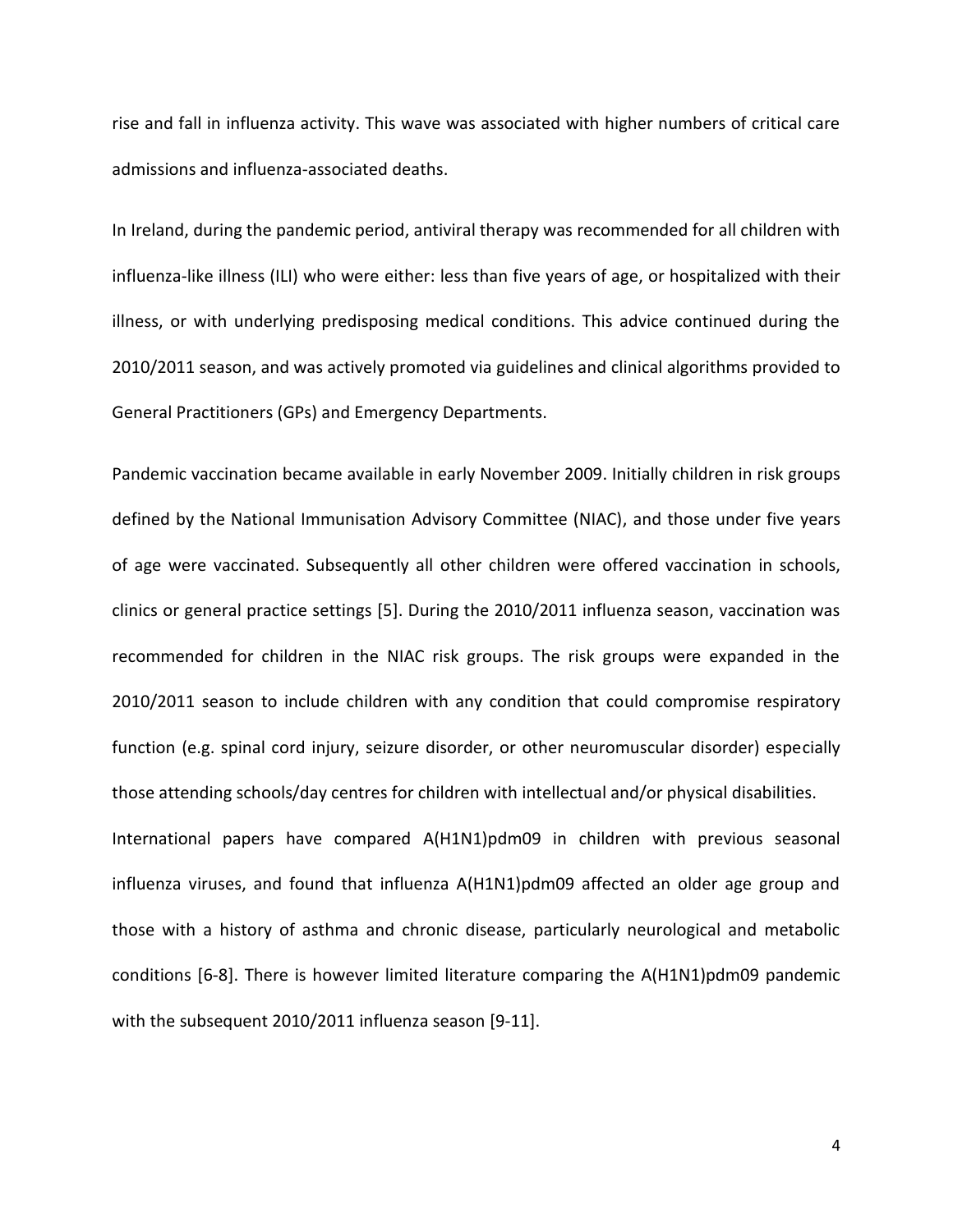rise and fall in influenza activity. This wave was associated with higher numbers of critical care admissions and influenza-associated deaths.

In Ireland, during the pandemic period, antiviral therapy was recommended for all children with influenza-like illness (ILI) who were either: less than five years of age, or hospitalized with their illness, or with underlying predisposing medical conditions. This advice continued during the 2010/2011 season, and was actively promoted via guidelines and clinical algorithms provided to General Practitioners (GPs) and Emergency Departments.

Pandemic vaccination became available in early November 2009. Initially children in risk groups defined by the National Immunisation Advisory Committee (NIAC), and those under five years of age were vaccinated. Subsequently all other children were offered vaccination in schools, clinics or general practice settings [5]. During the 2010/2011 influenza season, vaccination was recommended for children in the NIAC risk groups. The risk groups were expanded in the 2010/2011 season to include children with any condition that could compromise respiratory function (e.g. spinal cord injury, seizure disorder, or other neuromuscular disorder) especially those attending schools/day centres for children with intellectual and/or physical disabilities. International papers have compared A(H1N1)pdm09 in children with previous seasonal influenza viruses, and found that influenza A(H1N1)pdm09 affected an older age group and those with a history of asthma and chronic disease, particularly neurological and metabolic conditions [6-8]. There is however limited literature comparing the A(H1N1)pdm09 pandemic with the subsequent 2010/2011 influenza season [9-11].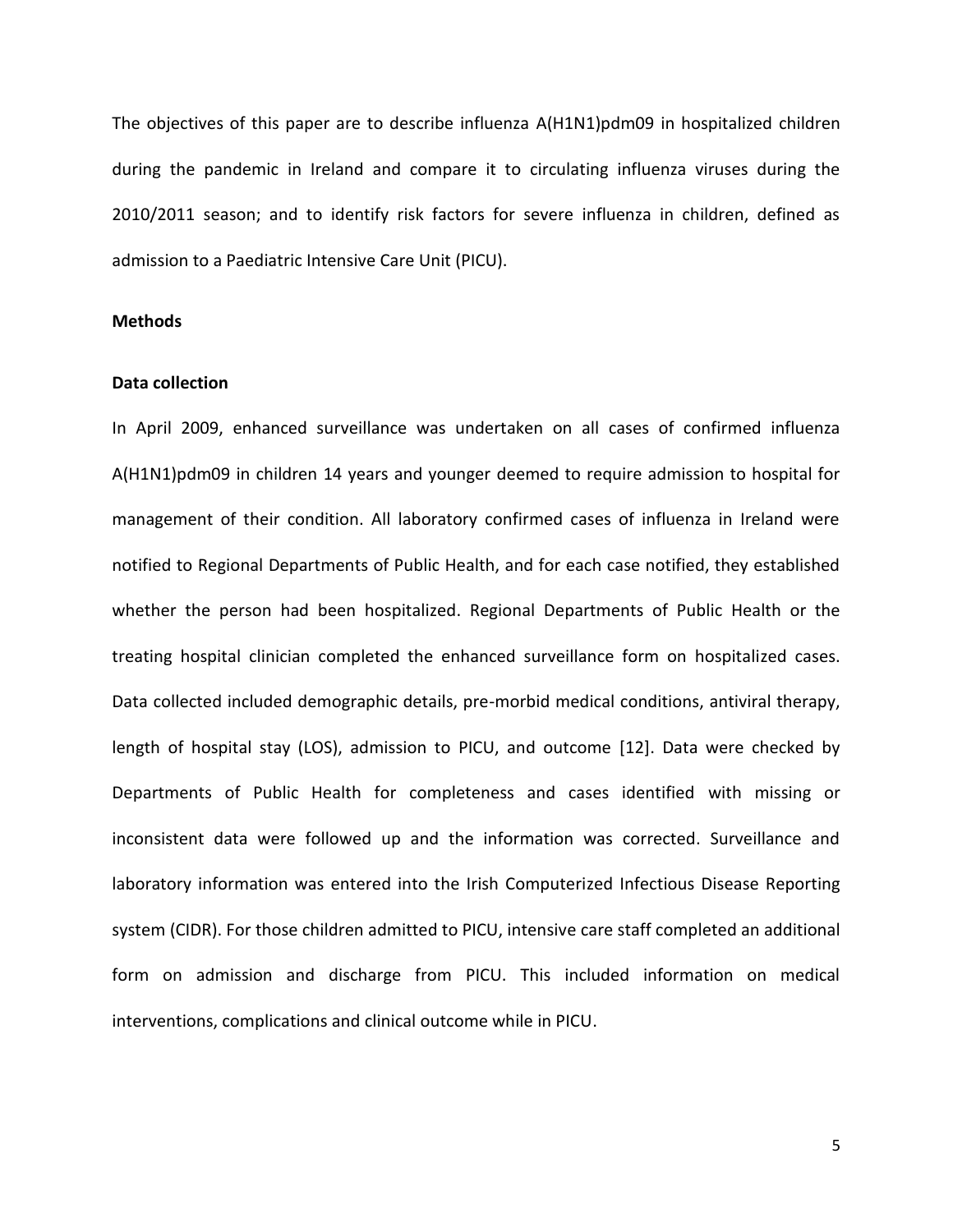The objectives of this paper are to describe influenza A(H1N1)pdm09 in hospitalized children during the pandemic in Ireland and compare it to circulating influenza viruses during the 2010/2011 season; and to identify risk factors for severe influenza in children, defined as admission to a Paediatric Intensive Care Unit (PICU).

## **Methods**

#### **Data collection**

In April 2009, enhanced surveillance was undertaken on all cases of confirmed influenza A(H1N1)pdm09 in children 14 years and younger deemed to require admission to hospital for management of their condition. All laboratory confirmed cases of influenza in Ireland were notified to Regional Departments of Public Health, and for each case notified, they established whether the person had been hospitalized. Regional Departments of Public Health or the treating hospital clinician completed the enhanced surveillance form on hospitalized cases. Data collected included demographic details, pre-morbid medical conditions, antiviral therapy, length of hospital stay (LOS), admission to PICU, and outcome [12]. Data were checked by Departments of Public Health for completeness and cases identified with missing or inconsistent data were followed up and the information was corrected. Surveillance and laboratory information was entered into the Irish Computerized Infectious Disease Reporting system (CIDR). For those children admitted to PICU, intensive care staff completed an additional form on admission and discharge from PICU. This included information on medical interventions, complications and clinical outcome while in PICU.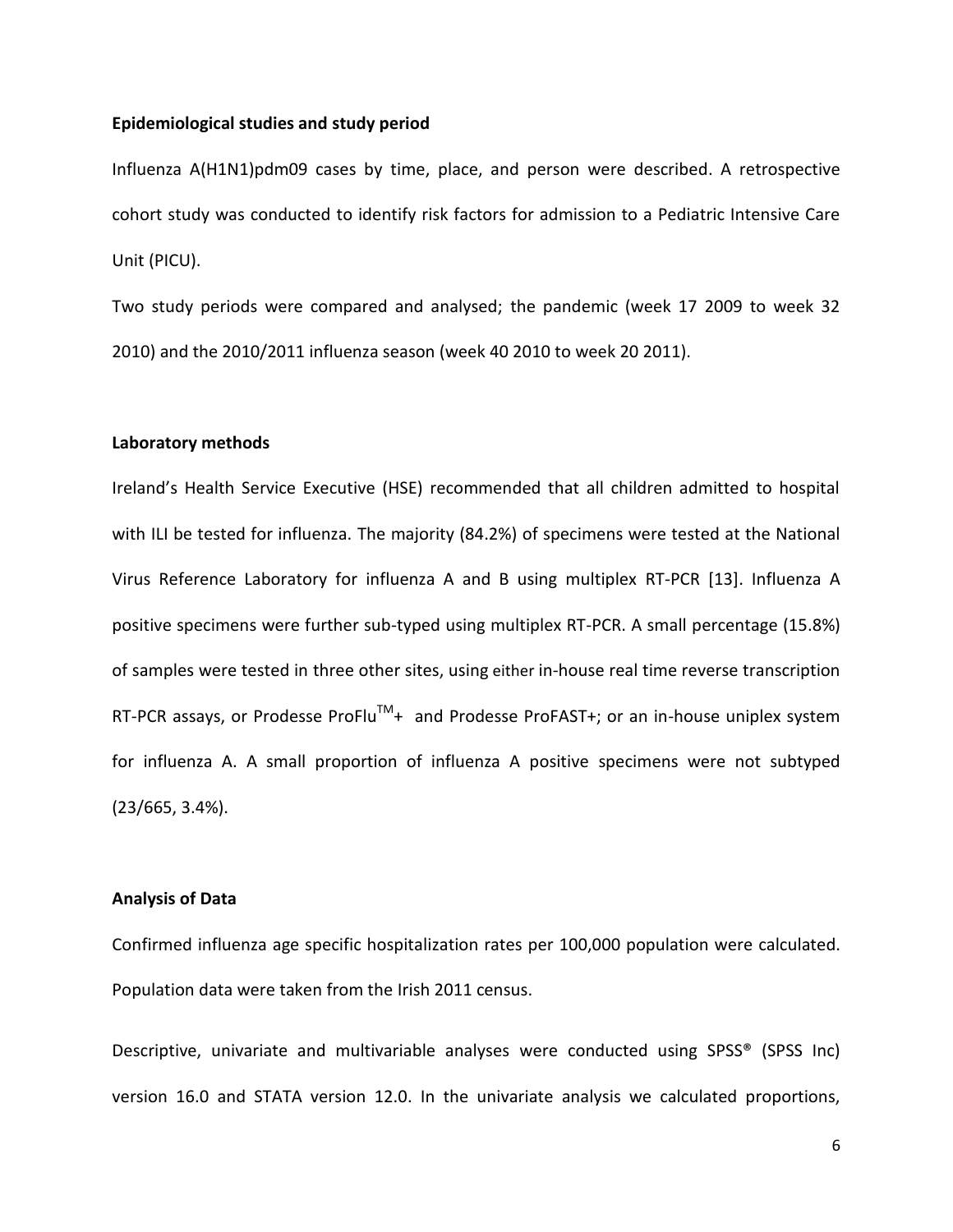## **Epidemiological studies and study period**

Influenza A(H1N1)pdm09 cases by time, place, and person were described. A retrospective cohort study was conducted to identify risk factors for admission to a Pediatric Intensive Care Unit (PICU).

Two study periods were compared and analysed; the pandemic (week 17 2009 to week 32 2010) and the 2010/2011 influenza season (week 40 2010 to week 20 2011).

#### **Laboratory methods**

Ireland's Health Service Executive (HSE) recommended that all children admitted to hospital with ILI be tested for influenza. The majority (84.2%) of specimens were tested at the National Virus Reference Laboratory for influenza A and B using multiplex RT-PCR [13]. Influenza A positive specimens were further sub-typed using multiplex RT-PCR. A small percentage (15.8%) of samples were tested in three other sites, using either in-house real time reverse transcription RT-PCR assays, or Prodesse ProFlu<sup>TM</sup>+ and Prodesse ProFAST+; or an in-house uniplex system for influenza A. A small proportion of influenza A positive specimens were not subtyped (23/665, 3.4%).

## **Analysis of Data**

Confirmed influenza age specific hospitalization rates per 100,000 population were calculated. Population data were taken from the Irish 2011 census.

Descriptive, univariate and multivariable analyses were conducted using SPSS® (SPSS Inc) version 16.0 and STATA version 12.0. In the univariate analysis we calculated proportions,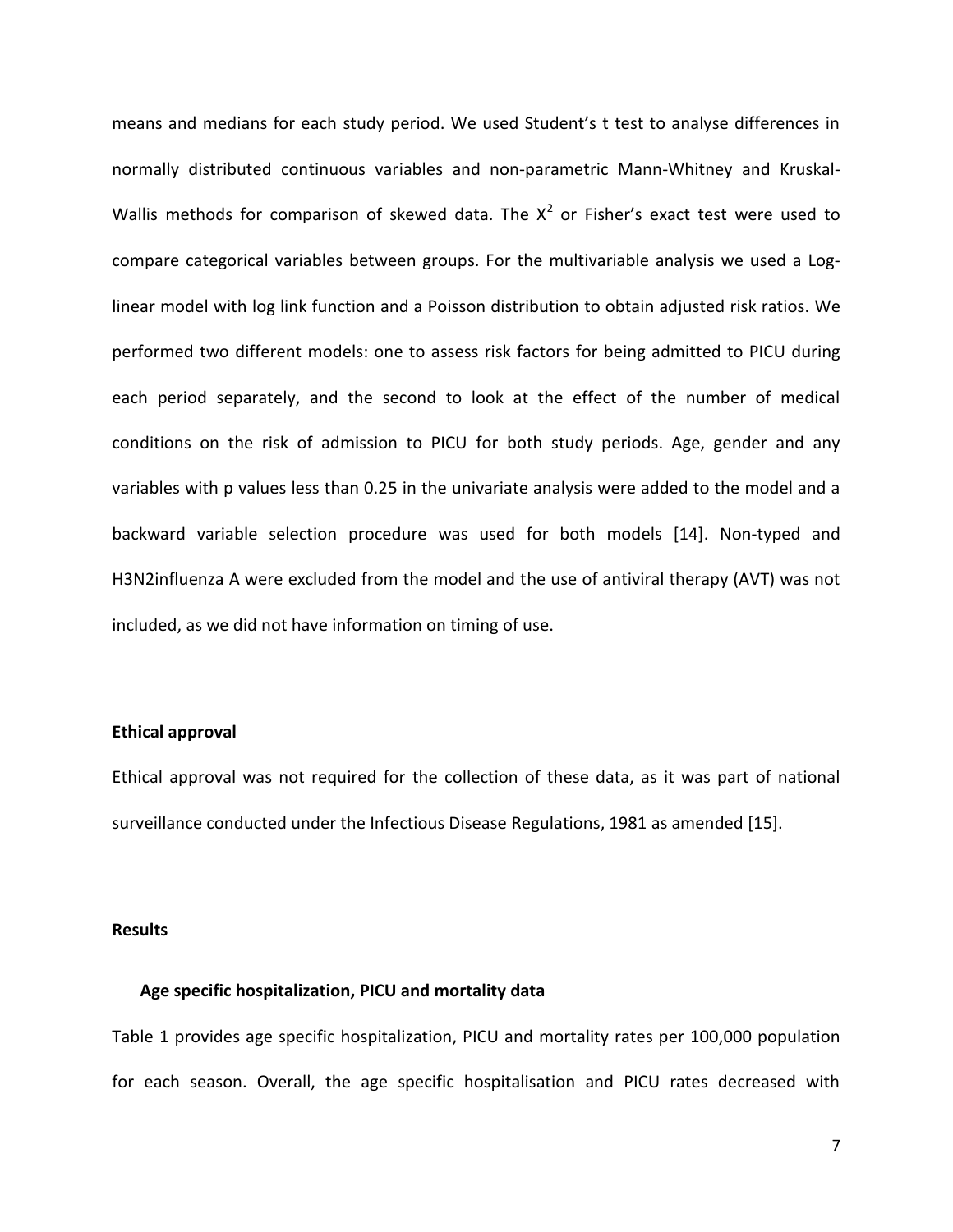means and medians for each study period. We used Student's t test to analyse differences in normally distributed continuous variables and non-parametric Mann-Whitney and Kruskal-Wallis methods for comparison of skewed data. The  $X^2$  or Fisher's exact test were used to compare categorical variables between groups. For the multivariable analysis we used a Loglinear model with log link function and a Poisson distribution to obtain adjusted risk ratios. We performed two different models: one to assess risk factors for being admitted to PICU during each period separately, and the second to look at the effect of the number of medical conditions on the risk of admission to PICU for both study periods. Age, gender and any variables with p values less than 0.25 in the univariate analysis were added to the model and a backward variable selection procedure was used for both models [14]. Non-typed and H3N2influenza A were excluded from the model and the use of antiviral therapy (AVT) was not included, as we did not have information on timing of use.

# **Ethical approval**

Ethical approval was not required for the collection of these data, as it was part of national surveillance conducted under the Infectious Disease Regulations, 1981 as amended [15].

#### **Results**

# **Age specific hospitalization, PICU and mortality data**

Table 1 provides age specific hospitalization, PICU and mortality rates per 100,000 population for each season. Overall, the age specific hospitalisation and PICU rates decreased with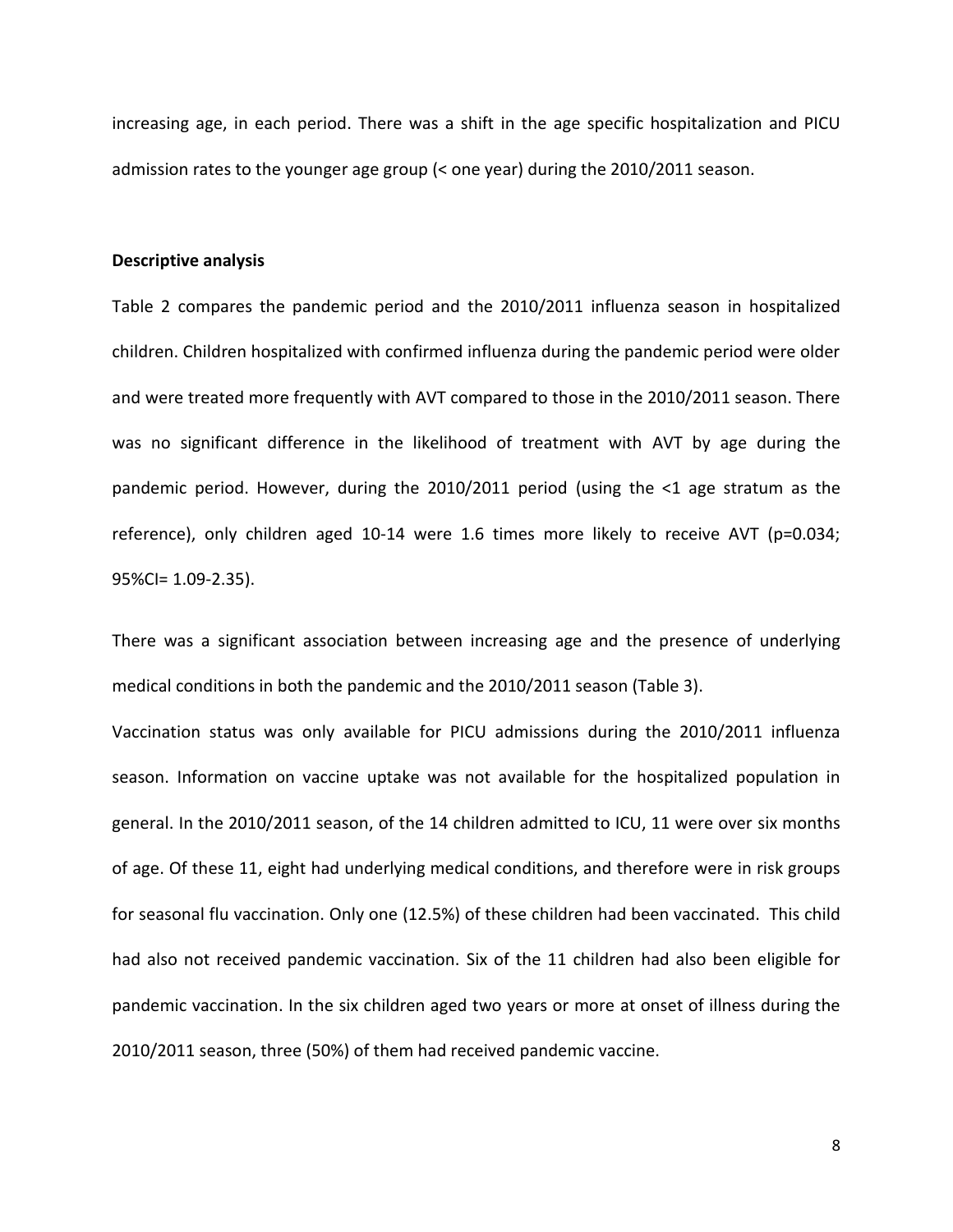increasing age, in each period. There was a shift in the age specific hospitalization and PICU admission rates to the younger age group (< one year) during the 2010/2011 season.

#### **Descriptive analysis**

Table 2 compares the pandemic period and the 2010/2011 influenza season in hospitalized children. Children hospitalized with confirmed influenza during the pandemic period were older and were treated more frequently with AVT compared to those in the 2010/2011 season. There was no significant difference in the likelihood of treatment with AVT by age during the pandemic period. However, during the 2010/2011 period (using the <1 age stratum as the reference), only children aged 10-14 were 1.6 times more likely to receive AVT (p=0.034; 95%CI= 1.09-2.35).

There was a significant association between increasing age and the presence of underlying medical conditions in both the pandemic and the 2010/2011 season (Table 3).

Vaccination status was only available for PICU admissions during the 2010/2011 influenza season. Information on vaccine uptake was not available for the hospitalized population in general. In the 2010/2011 season, of the 14 children admitted to ICU, 11 were over six months of age. Of these 11, eight had underlying medical conditions, and therefore were in risk groups for seasonal flu vaccination. Only one (12.5%) of these children had been vaccinated. This child had also not received pandemic vaccination. Six of the 11 children had also been eligible for pandemic vaccination. In the six children aged two years or more at onset of illness during the 2010/2011 season, three (50%) of them had received pandemic vaccine.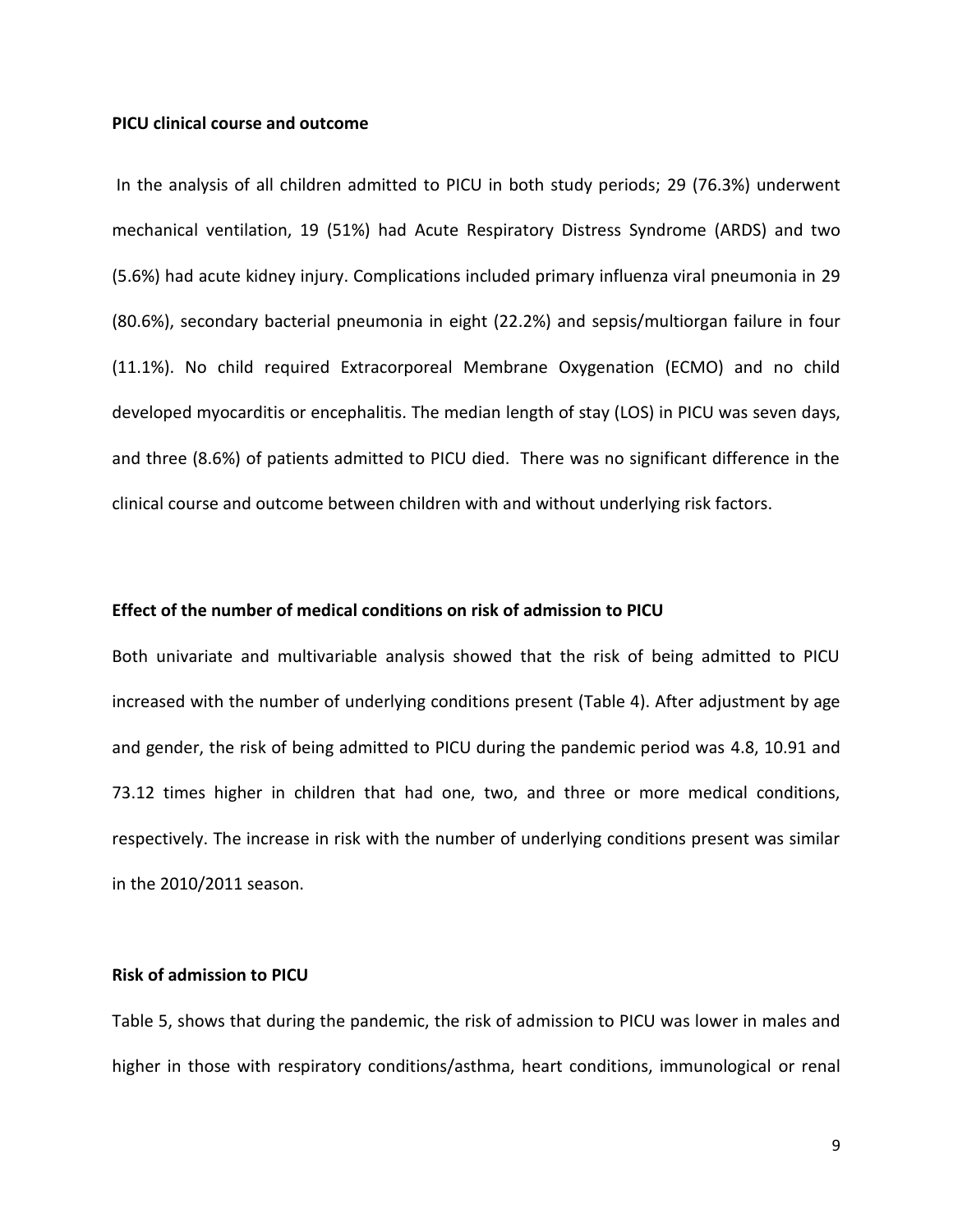#### **PICU clinical course and outcome**

In the analysis of all children admitted to PICU in both study periods; 29 (76.3%) underwent mechanical ventilation, 19 (51%) had Acute Respiratory Distress Syndrome (ARDS) and two (5.6%) had acute kidney injury. Complications included primary influenza viral pneumonia in 29 (80.6%), secondary bacterial pneumonia in eight (22.2%) and sepsis/multiorgan failure in four (11.1%). No child required Extracorporeal Membrane Oxygenation (ECMO) and no child developed myocarditis or encephalitis. The median length of stay (LOS) in PICU was seven days, and three (8.6%) of patients admitted to PICU died. There was no significant difference in the clinical course and outcome between children with and without underlying risk factors.

## **Effect of the number of medical conditions on risk of admission to PICU**

Both univariate and multivariable analysis showed that the risk of being admitted to PICU increased with the number of underlying conditions present (Table 4). After adjustment by age and gender, the risk of being admitted to PICU during the pandemic period was 4.8, 10.91 and 73.12 times higher in children that had one, two, and three or more medical conditions, respectively. The increase in risk with the number of underlying conditions present was similar in the 2010/2011 season.

# **Risk of admission to PICU**

Table 5, shows that during the pandemic, the risk of admission to PICU was lower in males and higher in those with respiratory conditions/asthma, heart conditions, immunological or renal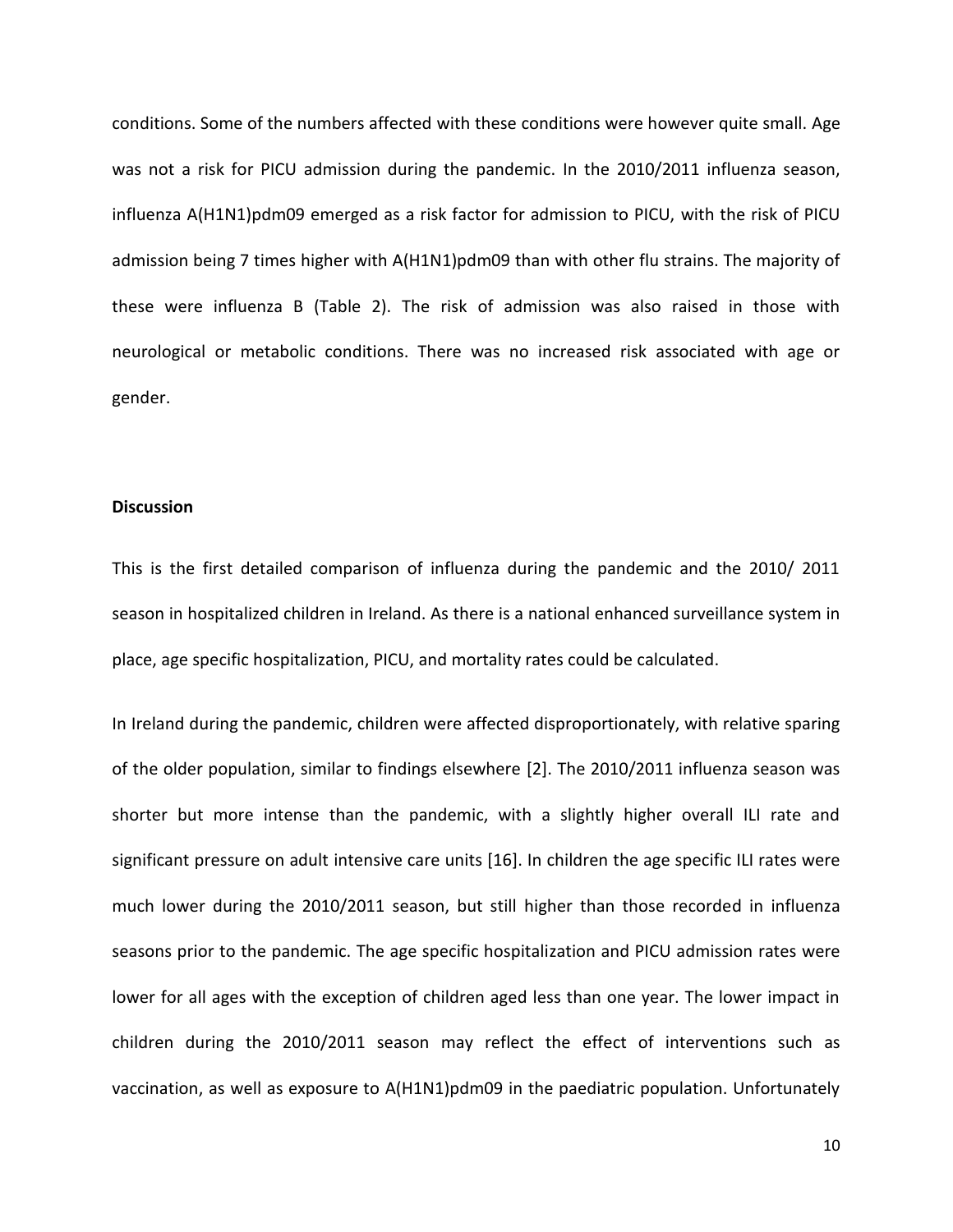conditions. Some of the numbers affected with these conditions were however quite small. Age was not a risk for PICU admission during the pandemic. In the 2010/2011 influenza season, influenza A(H1N1)pdm09 emerged as a risk factor for admission to PICU, with the risk of PICU admission being 7 times higher with A(H1N1)pdm09 than with other flu strains. The majority of these were influenza B (Table 2). The risk of admission was also raised in those with neurological or metabolic conditions. There was no increased risk associated with age or gender.

#### **Discussion**

This is the first detailed comparison of influenza during the pandemic and the 2010/ 2011 season in hospitalized children in Ireland. As there is a national enhanced surveillance system in place, age specific hospitalization, PICU, and mortality rates could be calculated.

In Ireland during the pandemic, children were affected disproportionately, with relative sparing of the older population, similar to findings elsewhere [2]. The 2010/2011 influenza season was shorter but more intense than the pandemic, with a slightly higher overall ILI rate and significant pressure on adult intensive care units [16]. In children the age specific ILI rates were much lower during the 2010/2011 season, but still higher than those recorded in influenza seasons prior to the pandemic. The age specific hospitalization and PICU admission rates were lower for all ages with the exception of children aged less than one year. The lower impact in children during the 2010/2011 season may reflect the effect of interventions such as vaccination, as well as exposure to A(H1N1)pdm09 in the paediatric population. Unfortunately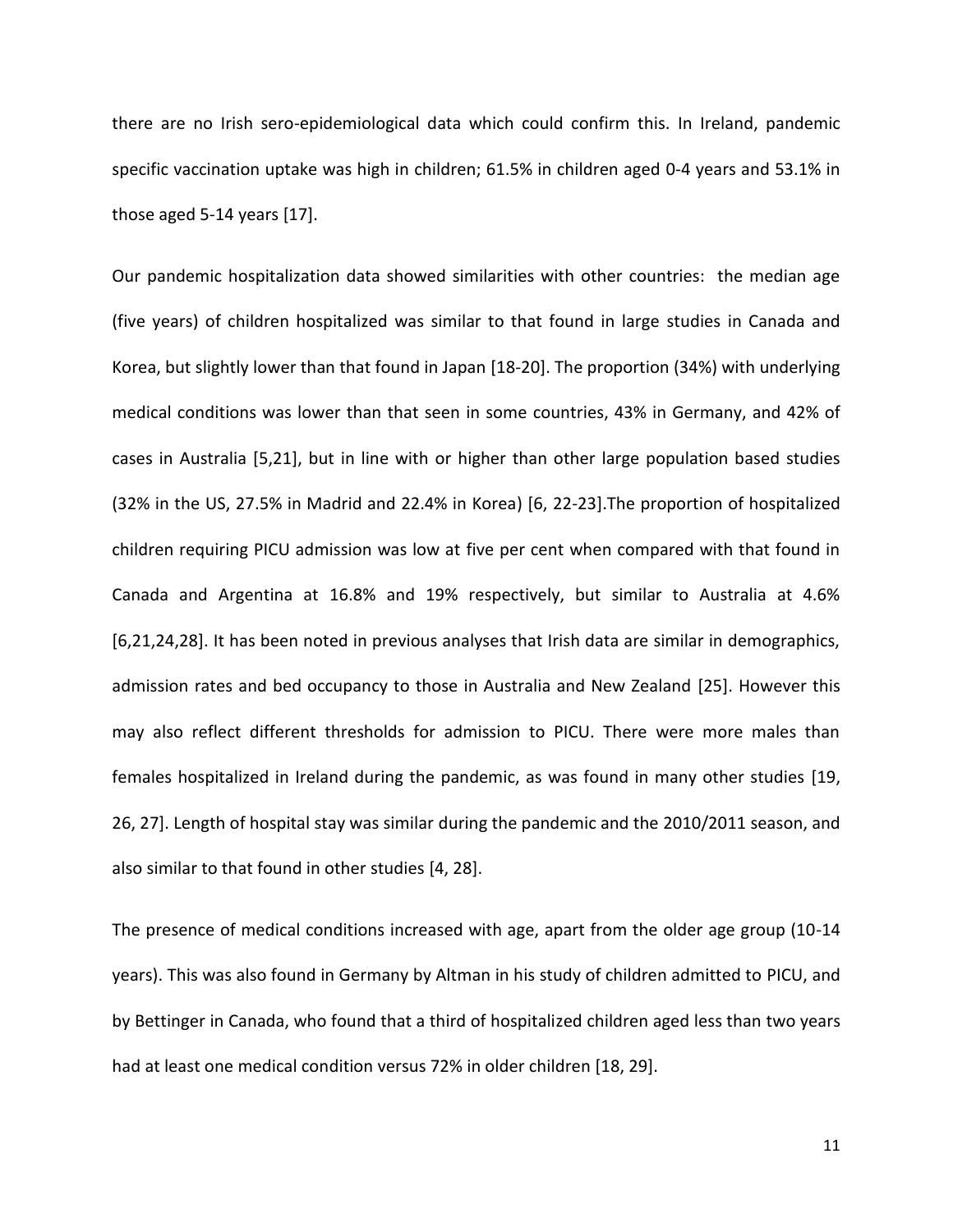there are no Irish sero-epidemiological data which could confirm this. In Ireland, pandemic specific vaccination uptake was high in children; 61.5% in children aged 0-4 years and 53.1% in those aged 5-14 years [17].

Our pandemic hospitalization data showed similarities with other countries: the median age (five years) of children hospitalized was similar to that found in large studies in Canada and Korea, but slightly lower than that found in Japan [18-20]. The proportion (34%) with underlying medical conditions was lower than that seen in some countries, 43% in Germany, and 42% of cases in Australia [5,21], but in line with or higher than other large population based studies (32% in the US, 27.5% in Madrid and 22.4% in Korea) [6, 22-23].The proportion of hospitalized children requiring PICU admission was low at five per cent when compared with that found in Canada and Argentina at 16.8% and 19% respectively, but similar to Australia at 4.6% [6,21,24,28]. It has been noted in previous analyses that Irish data are similar in demographics, admission rates and bed occupancy to those in Australia and New Zealand [25]. However this may also reflect different thresholds for admission to PICU. There were more males than females hospitalized in Ireland during the pandemic, as was found in many other studies [19, 26, 27]. Length of hospital stay was similar during the pandemic and the 2010/2011 season, and also similar to that found in other studies [4, 28].

The presence of medical conditions increased with age, apart from the older age group (10-14 years). This was also found in Germany by Altman in his study of children admitted to PICU, and by Bettinger in Canada, who found that a third of hospitalized children aged less than two years had at least one medical condition versus 72% in older children [18, 29].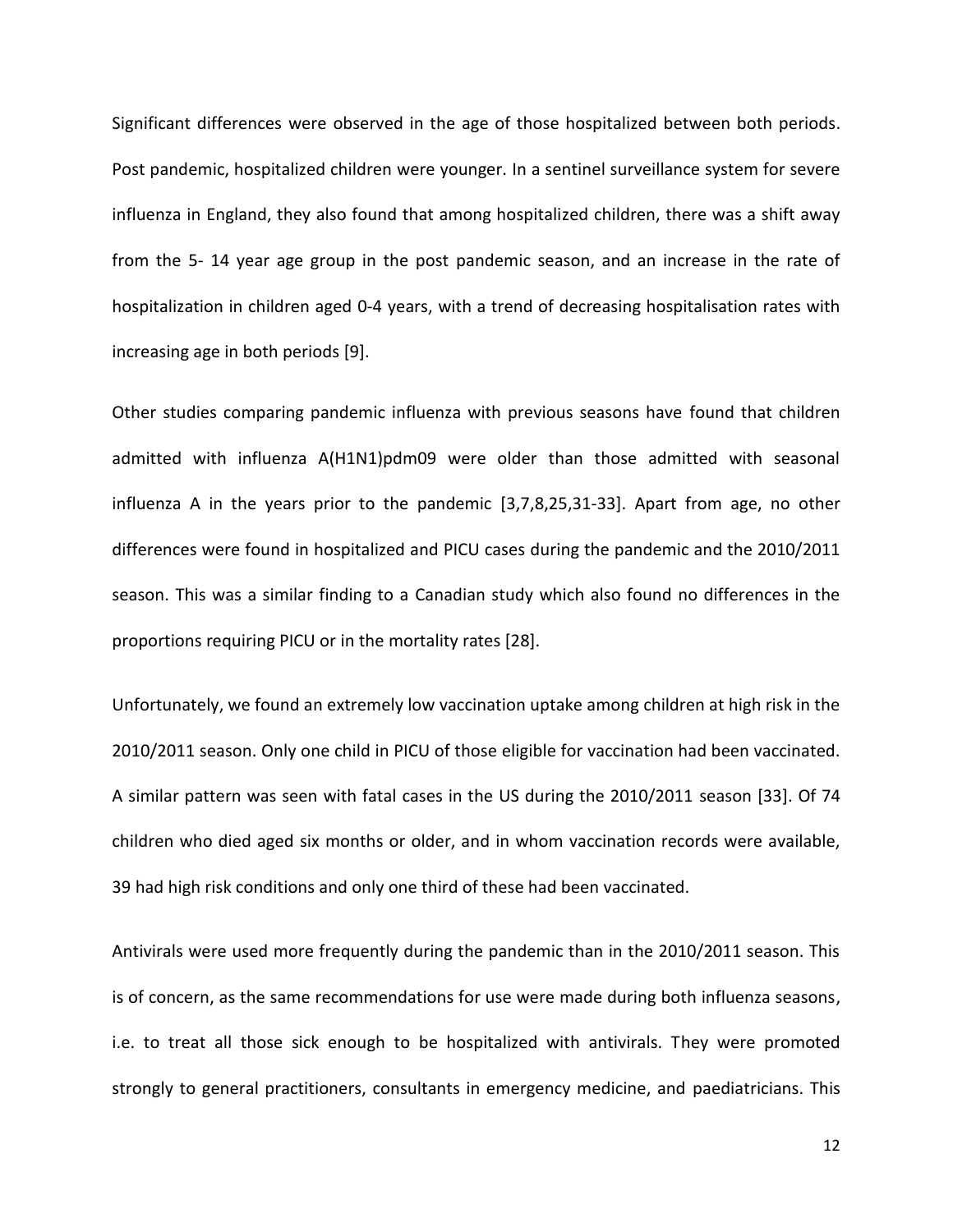Significant differences were observed in the age of those hospitalized between both periods. Post pandemic, hospitalized children were younger. In a sentinel surveillance system for severe influenza in England, they also found that among hospitalized children, there was a shift away from the 5- 14 year age group in the post pandemic season, and an increase in the rate of hospitalization in children aged 0-4 years, with a trend of decreasing hospitalisation rates with increasing age in both periods [9].

Other studies comparing pandemic influenza with previous seasons have found that children admitted with influenza A(H1N1)pdm09 were older than those admitted with seasonal influenza A in the years prior to the pandemic [3,7,8,25,31-33]. Apart from age, no other differences were found in hospitalized and PICU cases during the pandemic and the 2010/2011 season. This was a similar finding to a Canadian study which also found no differences in the proportions requiring PICU or in the mortality rates [28].

Unfortunately, we found an extremely low vaccination uptake among children at high risk in the 2010/2011 season. Only one child in PICU of those eligible for vaccination had been vaccinated. A similar pattern was seen with fatal cases in the US during the 2010/2011 season [33]. Of 74 children who died aged six months or older, and in whom vaccination records were available, 39 had high risk conditions and only one third of these had been vaccinated.

Antivirals were used more frequently during the pandemic than in the 2010/2011 season. This is of concern, as the same recommendations for use were made during both influenza seasons, i.e. to treat all those sick enough to be hospitalized with antivirals. They were promoted strongly to general practitioners, consultants in emergency medicine, and paediatricians. This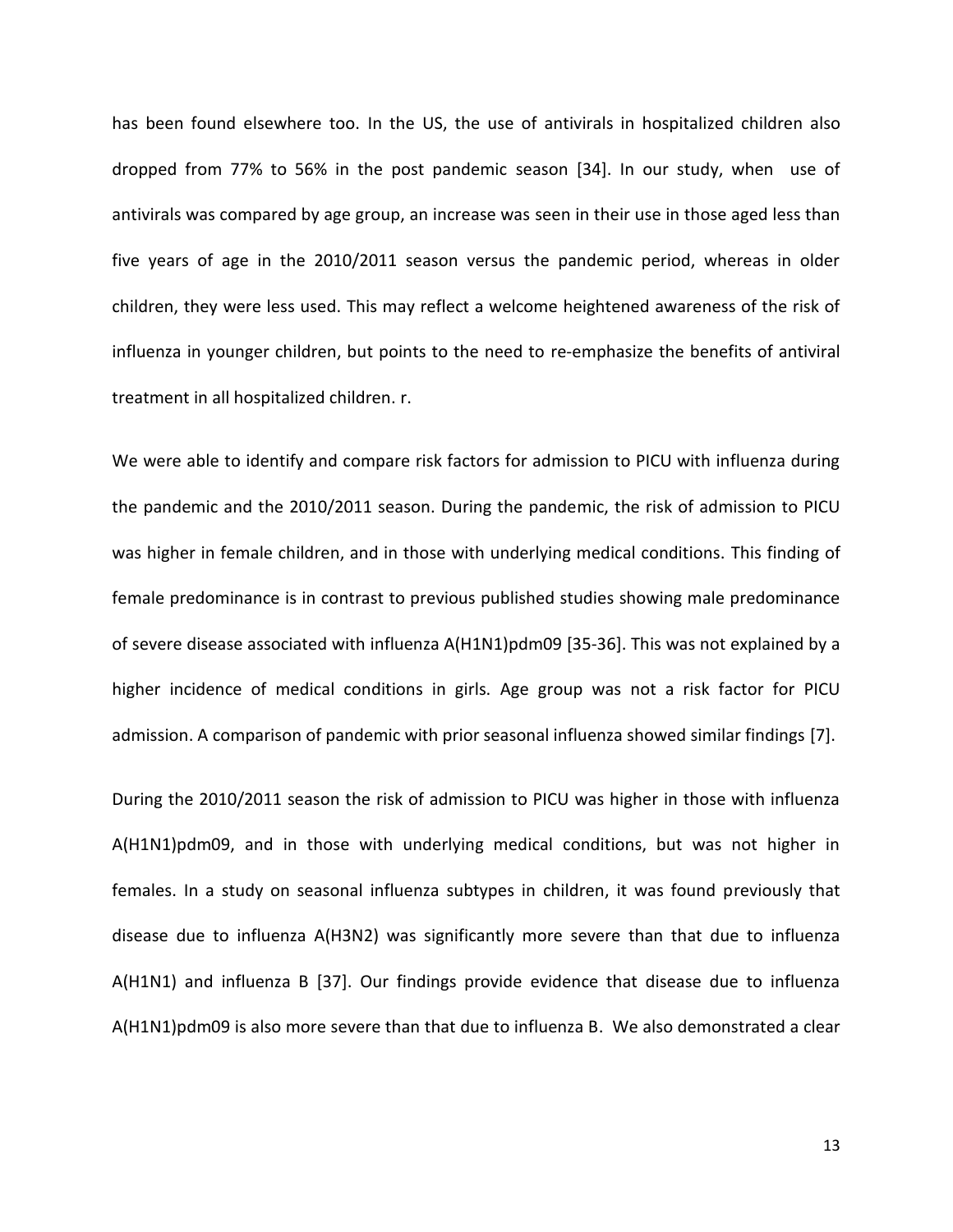has been found elsewhere too. In the US, the use of antivirals in hospitalized children also dropped from 77% to 56% in the post pandemic season [34]. In our study, when use of antivirals was compared by age group, an increase was seen in their use in those aged less than five years of age in the 2010/2011 season versus the pandemic period, whereas in older children, they were less used. This may reflect a welcome heightened awareness of the risk of influenza in younger children, but points to the need to re-emphasize the benefits of antiviral treatment in all hospitalized children. r.

We were able to identify and compare risk factors for admission to PICU with influenza during the pandemic and the 2010/2011 season. During the pandemic, the risk of admission to PICU was higher in female children, and in those with underlying medical conditions. This finding of female predominance is in contrast to previous published studies showing male predominance of severe disease associated with influenza A(H1N1)pdm09 [35-36]. This was not explained by a higher incidence of medical conditions in girls. Age group was not a risk factor for PICU admission. A comparison of pandemic with prior seasonal influenza showed similar findings [7].

During the 2010/2011 season the risk of admission to PICU was higher in those with influenza A(H1N1)pdm09, and in those with underlying medical conditions, but was not higher in females. In a study on seasonal influenza subtypes in children, it was found previously that disease due to influenza A(H3N2) was significantly more severe than that due to influenza A(H1N1) and influenza B [37]. Our findings provide evidence that disease due to influenza A(H1N1)pdm09 is also more severe than that due to influenza B. We also demonstrated a clear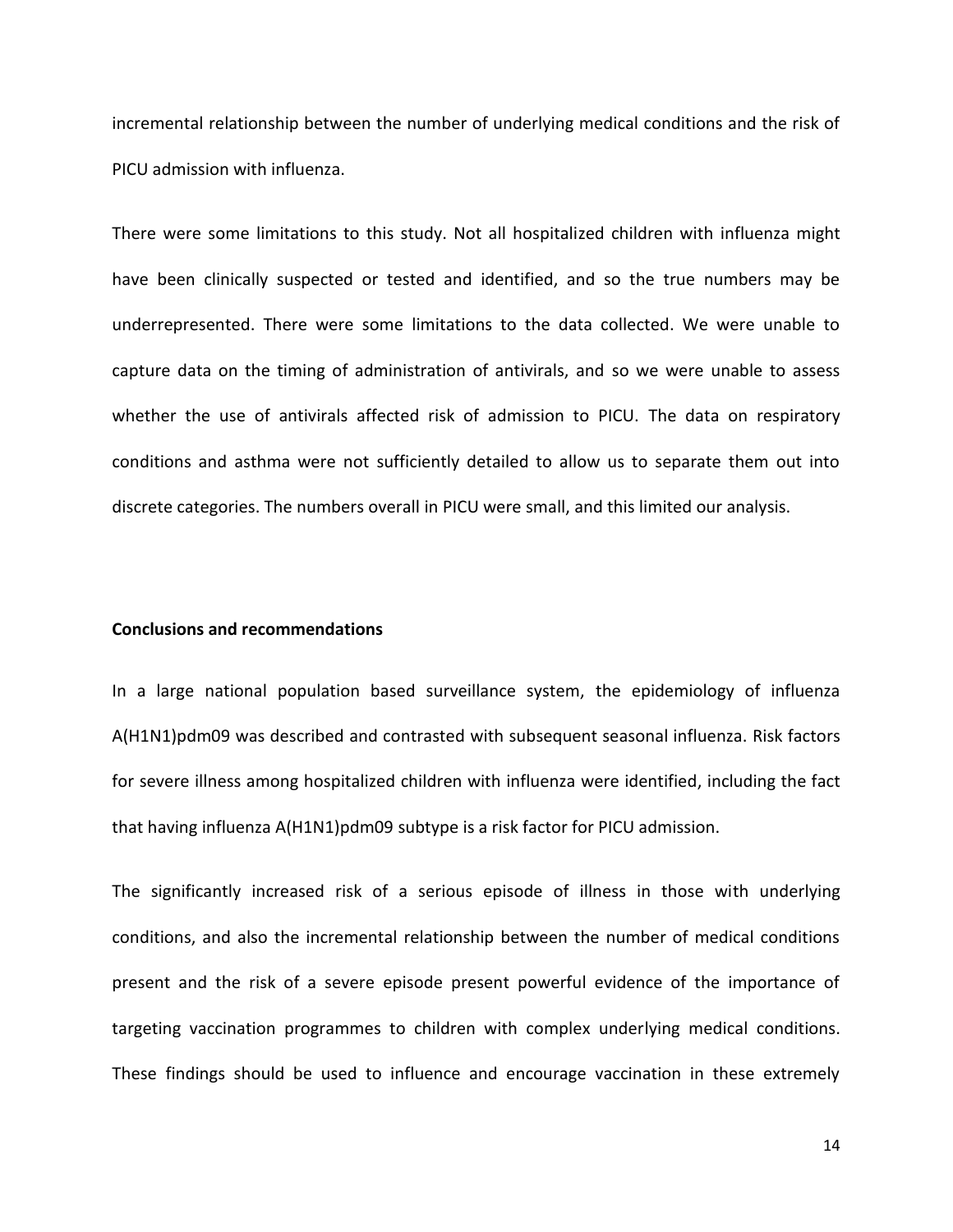incremental relationship between the number of underlying medical conditions and the risk of PICU admission with influenza.

There were some limitations to this study. Not all hospitalized children with influenza might have been clinically suspected or tested and identified, and so the true numbers may be underrepresented. There were some limitations to the data collected. We were unable to capture data on the timing of administration of antivirals, and so we were unable to assess whether the use of antivirals affected risk of admission to PICU. The data on respiratory conditions and asthma were not sufficiently detailed to allow us to separate them out into discrete categories. The numbers overall in PICU were small, and this limited our analysis.

#### **Conclusions and recommendations**

In a large national population based surveillance system, the epidemiology of influenza A(H1N1)pdm09 was described and contrasted with subsequent seasonal influenza. Risk factors for severe illness among hospitalized children with influenza were identified, including the fact that having influenza A(H1N1)pdm09 subtype is a risk factor for PICU admission.

The significantly increased risk of a serious episode of illness in those with underlying conditions, and also the incremental relationship between the number of medical conditions present and the risk of a severe episode present powerful evidence of the importance of targeting vaccination programmes to children with complex underlying medical conditions. These findings should be used to influence and encourage vaccination in these extremely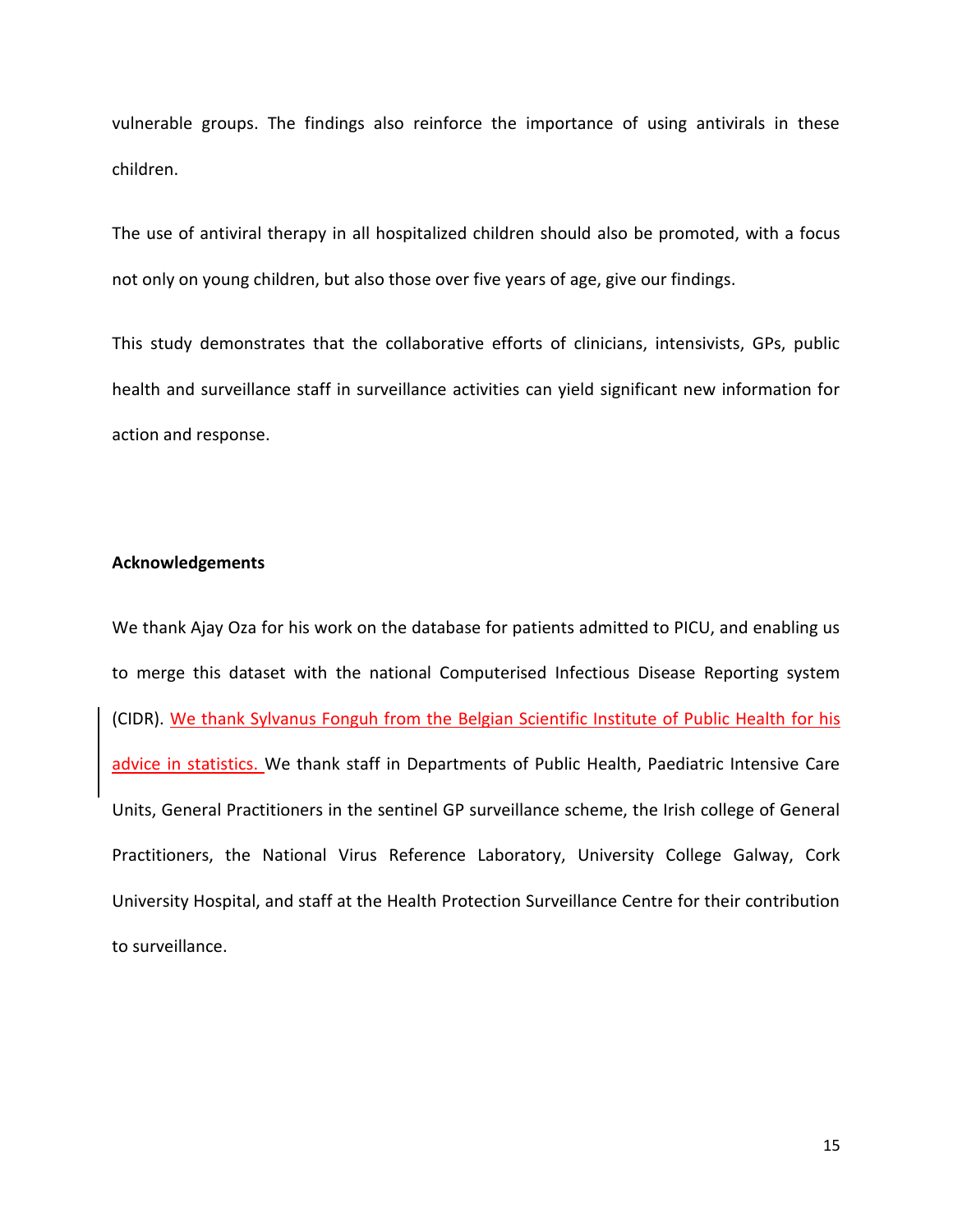vulnerable groups. The findings also reinforce the importance of using antivirals in these children.

The use of antiviral therapy in all hospitalized children should also be promoted, with a focus not only on young children, but also those over five years of age, give our findings.

This study demonstrates that the collaborative efforts of clinicians, intensivists, GPs, public health and surveillance staff in surveillance activities can yield significant new information for action and response.

# **Acknowledgements**

We thank Ajay Oza for his work on the database for patients admitted to PICU, and enabling us to merge this dataset with the national Computerised Infectious Disease Reporting system (CIDR). We thank Sylvanus Fonguh from the Belgian Scientific Institute of Public Health for his advice in statistics. We thank staff in Departments of Public Health, Paediatric Intensive Care Units, General Practitioners in the sentinel GP surveillance scheme, the Irish college of General Practitioners, the National Virus Reference Laboratory, University College Galway, Cork University Hospital, and staff at the Health Protection Surveillance Centre for their contribution to surveillance.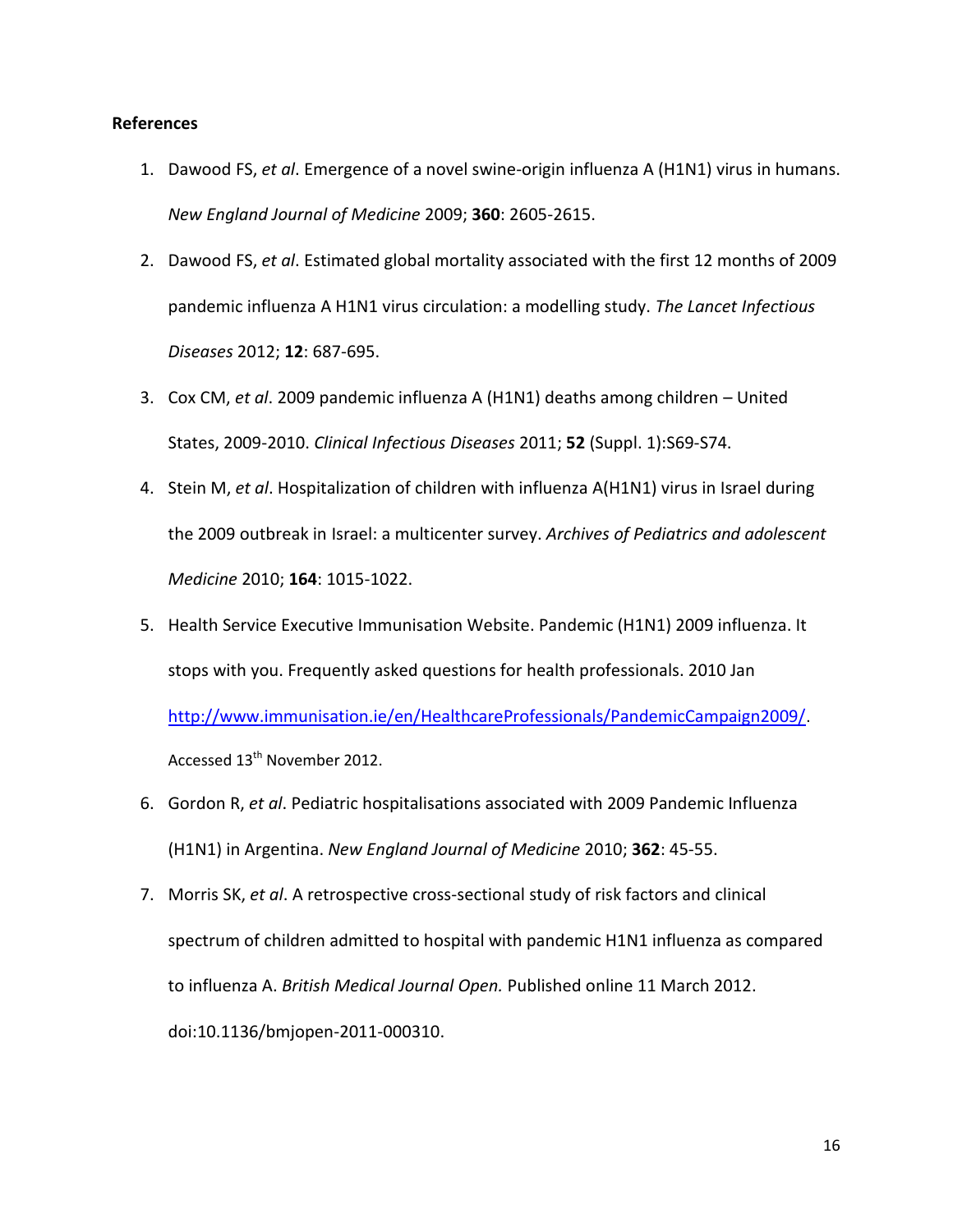# **References**

- 1. [Dawood](http://www.ncbi.nlm.nih.gov/pubmed?term=Dawood%20FS%5BAuthor%5D&cauthor=true&cauthor_uid=19423869) FS, *et al*. Emergence of a novel swine-origin influenza A (H1N1) virus in humans. *New England Journal of [Medicine](http://www.ncbi.nlm.nih.gov/pubmed/19423869)* 2009; **360**: 2605-2615.
- 2. Dawood FS, *et al*. Estimated global mortality associated with the first 12 months of 2009 pandemic influenza A H1N1 virus circulation: a modelling study. *The Lancet Infectious Diseases* 2012; **12**: 687-695.
- 3. Cox CM, *et al*. 2009 pandemic influenza A (H1N1) deaths among children United States, 2009-2010. *Clinical Infectious Diseases* 2011; **52** (Suppl. 1):S69-S74.
- 4. Stein M, *et al*. Hospitalization of children with influenza A(H1N1) virus in Israel during the 2009 outbreak in Israel: a multicenter survey. *Archives of Pediatrics and adolescent Medicine* 2010; **164**: 1015-1022.
- 5. Health Service Executive Immunisation Website. Pandemic (H1N1) 2009 influenza. It stops with you. Frequently asked questions for health professionals. 2010 Jan <http://www.immunisation.ie/en/HealthcareProfessionals/PandemicCampaign2009/>. Accessed 13<sup>th</sup> November 2012.
- 6. Gordon R, *et al*. Pediatric hospitalisations associated with 2009 Pandemic Influenza (H1N1) in Argentina. *New England Journal of Medicine* 2010; **362**: 45-55.
- 7. Morris SK, *et al*. A retrospective cross-sectional study of risk factors and clinical spectrum of children admitted to hospital with pandemic H1N1 influenza as compared to influenza A. *British Medical Journal Open.* Published online 11 March 2012. doi:10.1136/bmjopen-2011-000310.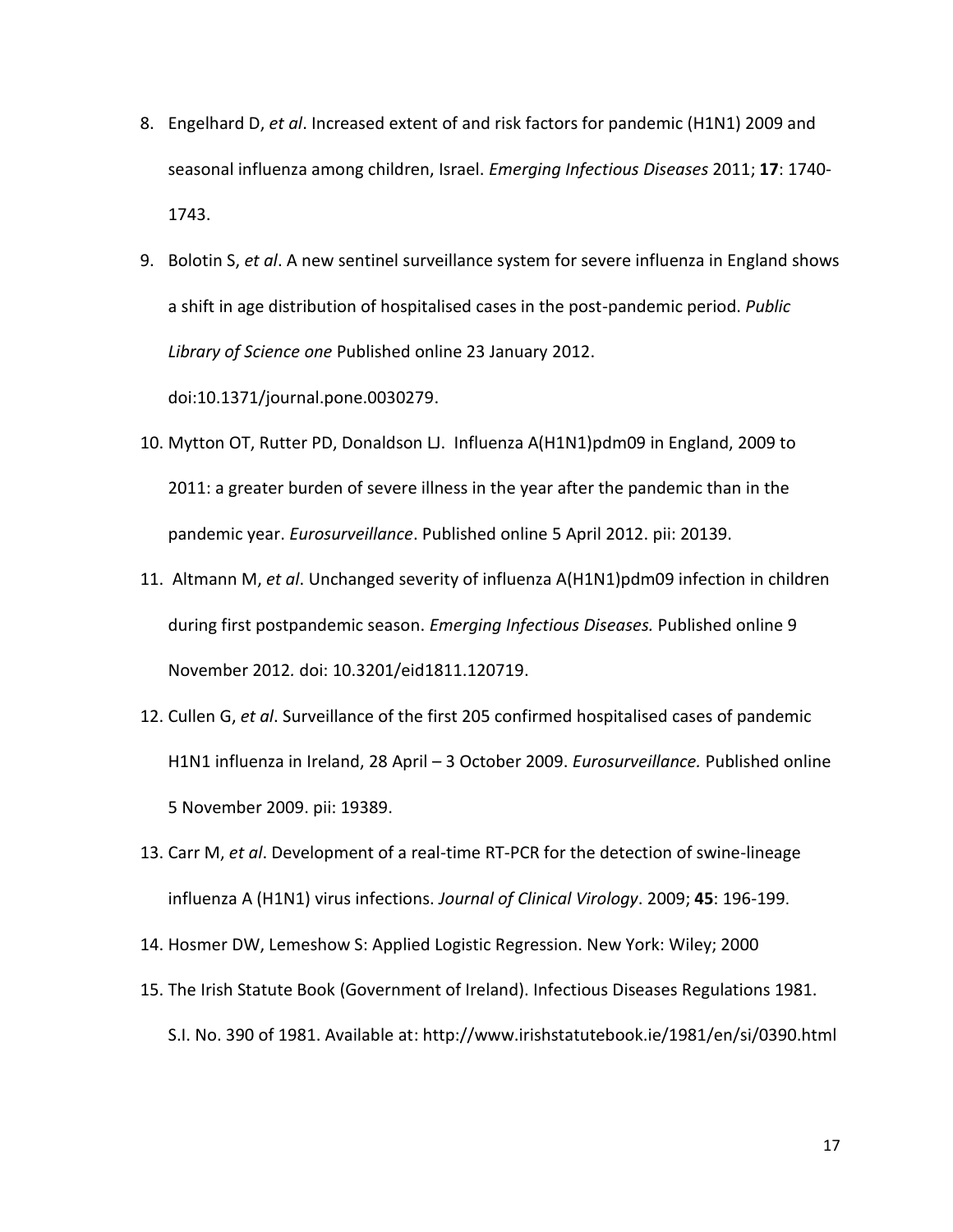- 8. Engelhard D, *et al*. Increased extent of and risk factors for pandemic (H1N1) 2009 and seasonal influenza among children, Israel. *Emerging Infectious Diseases* 2011; **17**: 1740- 1743.
- 9. Bolotin S, *et al*. A new sentinel surveillance system for severe influenza in England shows a shift in age distribution of hospitalised cases in the post-pandemic period. *Public Library of Science one* Published online 23 January 2012. doi:10.1371/journal.pone.0030279.
- 10. Mytton OT, Rutter PD, Donaldson LJ. Influenza A(H1N1)pdm09 in England, 2009 to 2011: a greater burden of severe illness in the year after the pandemic than in the pandemic year. *Eurosurveillance*. Published online 5 April 2012. pii: 20139.
- 11. Altmann M, *et al*. Unchanged severity of influenza A(H1N1)pdm09 infection in children during first postpandemic season. *Emerging Infectious Diseases.* Published online 9 November 2012*.* doi: 10.3201/eid1811.120719.
- 12. Cullen G, *et al*. Surveillance of the first 205 confirmed hospitalised cases of pandemic H1N1 influenza in Ireland, 28 April – 3 October 2009. *Eurosurveillance.* Published online 5 November 2009. pii: 19389.
- 13. Carr M, *et al*. Development of a real-time RT-PCR for the detection of swine-lineage influenza A (H1N1) virus infections. *Journal of Clinical Virology*. 2009; **45**: 196-199.
- 14. Hosmer DW, Lemeshow S: Applied Logistic Regression. New York: Wiley; 2000
- 15. The Irish Statute Book (Government of Ireland). Infectious Diseases Regulations 1981. S.I. No. 390 of 1981. Available at: <http://www.irishstatutebook.ie/1981/en/si/0390.html>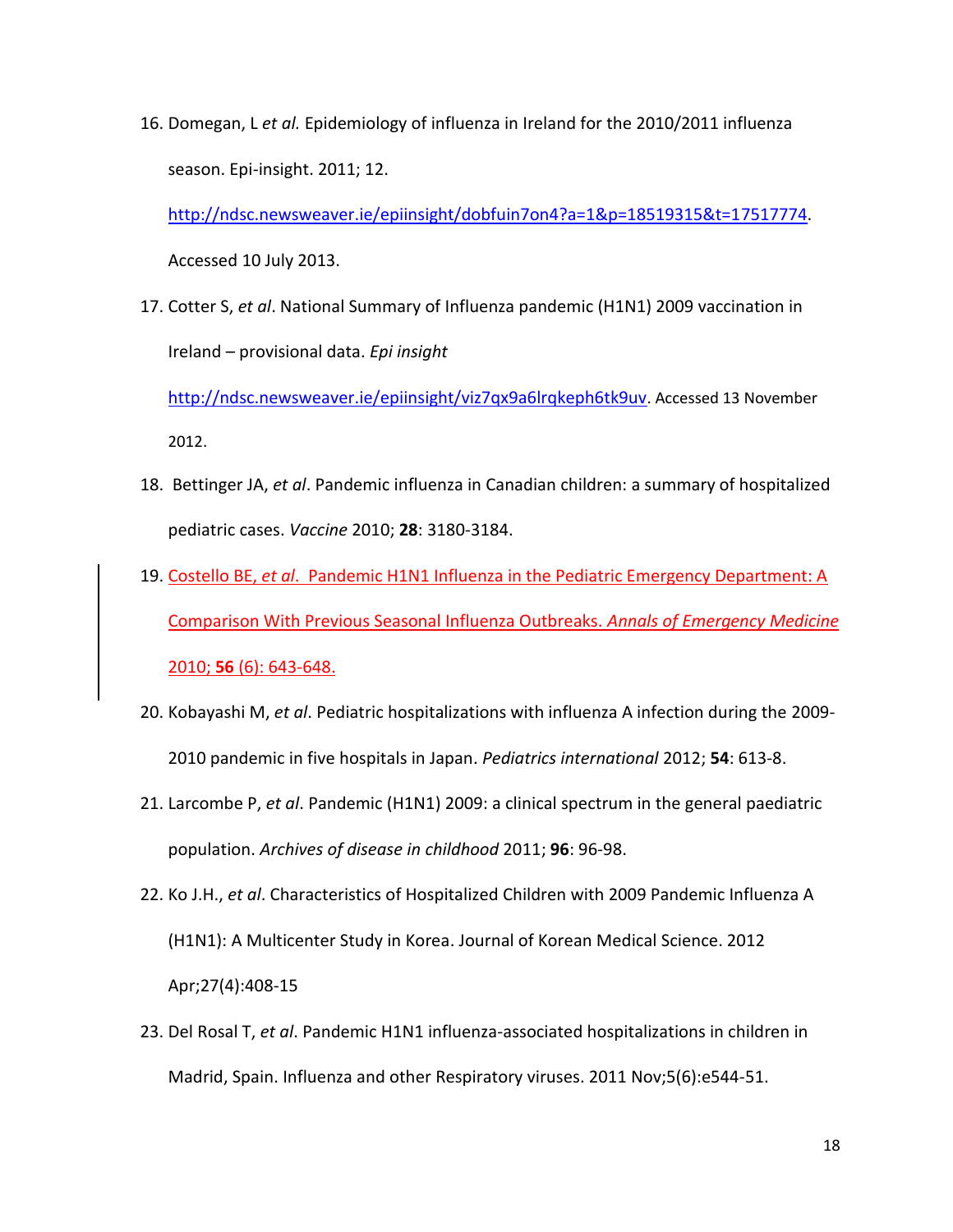16. Domegan, L *et al.* Epidemiology of influenza in Ireland for the 2010/2011 influenza season. Epi-insight. 2011; 12.

[http://ndsc.newsweaver.ie/epiinsight/dobfuin7on4?a=1&p=18519315&t=17517774.](http://ndsc.newsweaver.ie/epiinsight/dobfuin7on4?a=1&p=18519315&t=17517774) Accessed 10 July 2013.

17. Cotter S, *et al*. National Summary of Influenza pandemic (H1N1) 2009 vaccination in Ireland – provisional data. *Epi insight*

<http://ndsc.newsweaver.ie/epiinsight/viz7qx9a6lrqkeph6tk9uv>. Accessed 13 November 2012.

- 18. Bettinger JA, *et al*. Pandemic influenza in Canadian children: a summary of hospitalized pediatric cases. *Vaccine* 2010; **28**: 3180-3184.
- 19. Costello BE, *et al*. Pandemic H1N1 Influenza in the Pediatric Emergency Department: A Comparison With Previous Seasonal Influenza Outbreaks. *Annals of Emergency Medicine* 2010; **56** (6): 643-648.
- 20. Kobayashi M, *et al*. Pediatric hospitalizations with influenza A infection during the 2009- 2010 pandemic in five hospitals in Japan. *Pediatrics international* 2012; **54**: 613-8.
- 21. Larcombe P, *et al*. Pandemic (H1N1) 2009: a clinical spectrum in the general paediatric population. *Archives of disease in childhood* 2011; **96**: 96-98.
- 22. Ko J.H., *et al*. Characteristics of Hospitalized Children with 2009 Pandemic Influenza A (H1N1): A Multicenter Study in Korea. Journal of Korean Medical Science. 2012 Apr;27(4):408-15
- 23. Del Rosal T, *et al*. Pandemic H1N1 influenza-associated hospitalizations in children in Madrid, Spain. Influenza and other Respiratory viruses. 2011 Nov;5(6):e544-51.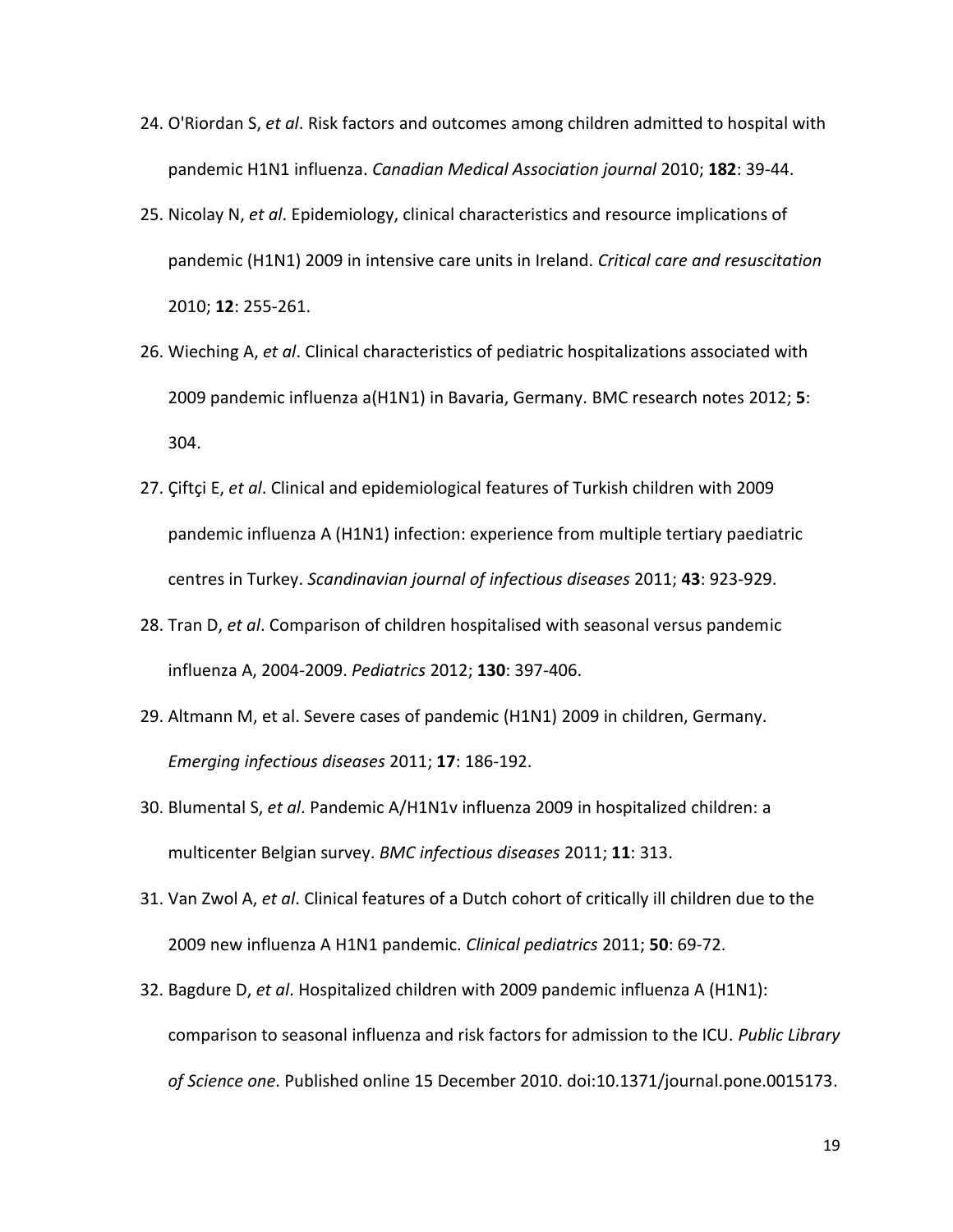- 24. O'Riordan S, *et al*. Risk factors and outcomes among children admitted to hospital with pandemic H1N1 influenza. *Canadian Medical Association journal* 2010; **182**: 39-44.
- 25. Nicolay N, *et al*. Epidemiology, clinical characteristics and resource implications of pandemic (H1N1) 2009 in intensive care units in Ireland. *Critical care and resuscitation* 2010; **12**: 255-261.
- 26. Wieching A, *et al*. Clinical characteristics of pediatric hospitalizations associated with 2009 pandemic influenza a(H1N1) in Bavaria, Germany. BMC research notes 2012; **5**: 304.
- 27. Çiftçi E, *et al*. Clinical and epidemiological features of Turkish children with 2009 pandemic influenza A (H1N1) infection: experience from multiple tertiary paediatric centres in Turkey. *Scandinavian journal of infectious diseases* 2011; **43**: 923-929.
- 28. Tran D, *et al*. Comparison of children hospitalised with seasonal versus pandemic influenza A, 2004-2009. *Pediatrics* 2012; **130**: 397-406.
- 29. Altmann M, et al. Severe cases of pandemic (H1N1) 2009 in children, Germany. *Emerging infectious diseases* 2011; **17**: 186-192.
- 30. Blumental S, *et al*. Pandemic A/H1N1v influenza 2009 in hospitalized children: a multicenter Belgian survey. *BMC infectious diseases* 2011; **11**: 313.
- 31. Van Zwol A, *et al*. Clinical features of a Dutch cohort of critically ill children due to the 2009 new influenza A H1N1 pandemic. *Clinical pediatrics* 2011; **50**: 69-72.
- 32. Bagdure D, *et al*. Hospitalized children with 2009 pandemic influenza A (H1N1): comparison to seasonal influenza and risk factors for admission to the ICU. *Public Library of Science one*. Published online 15 December 2010. doi[:10.1371/journal.pone.0015173.](http://dx.doi.org/10.1371%2Fjournal.pone.0015173)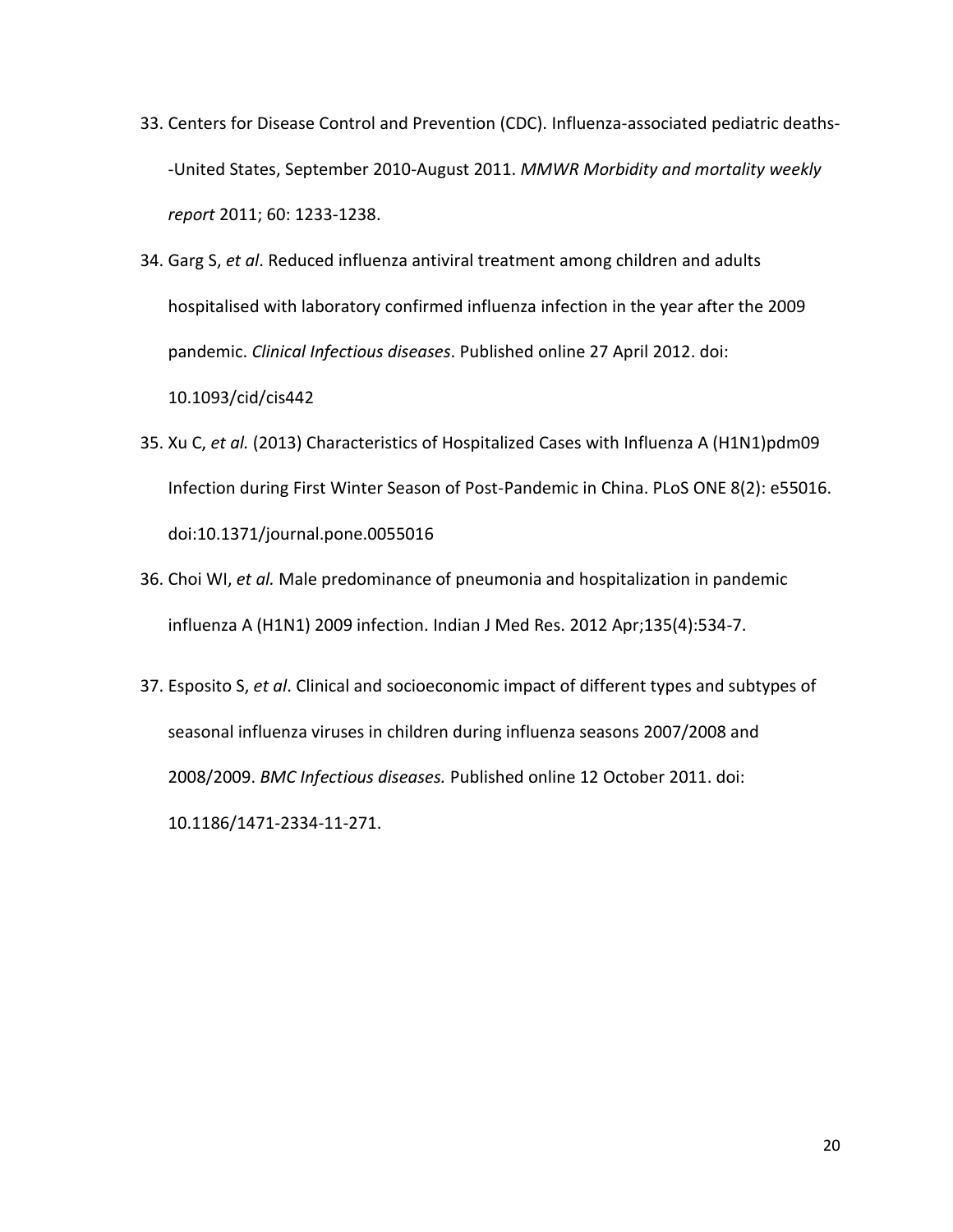- 33. Centers for Disease Control and Prevention (CDC). Influenza-associated pediatric deaths- -United States, September 2010-August 2011. *MMWR Morbidity and mortality weekly report* 2011; 60: 1233-1238.
- 34. Garg S, *et al*. Reduced influenza antiviral treatment among children and adults hospitalised with laboratory confirmed influenza infection in the year after the 2009 pandemic. *Clinical Infectious diseases*. Published online 27 April 2012. doi: 10.1093/cid/cis442
- 35. Xu C, *et al.* (2013) Characteristics of Hospitalized Cases with Influenza A (H1N1)pdm09 Infection during First Winter Season of Post-Pandemic in China. PLoS ONE 8(2): e55016. doi:10.1371/journal.pone.0055016
- 36. Choi WI, *et al.* Male predominance of pneumonia and hospitalization in pandemic influenza A (H1N1) 2009 infection. [Indian J Med Res.](http://www.ncbi.nlm.nih.gov/pubmed/22664503) 2012 Apr;135(4):534-7.
- 37. Esposito S, *et al*. Clinical and socioeconomic impact of different types and subtypes of seasonal influenza viruses in children during influenza seasons 2007/2008 and 2008/2009. *BMC Infectious diseases.* Published online 12 October 2011. doi: 10.1186/1471-2334-11-271.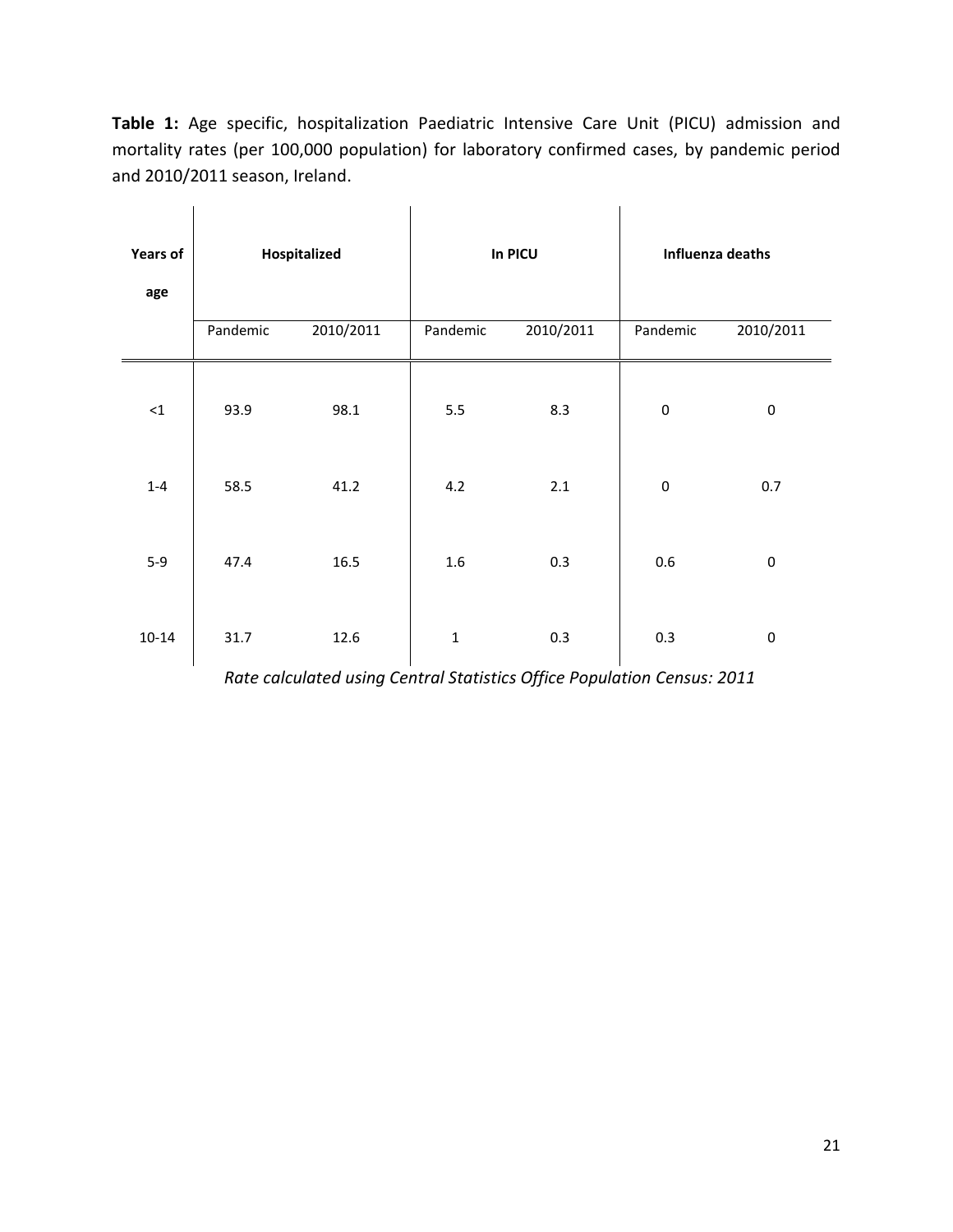**Table 1:** Age specific, hospitalization Paediatric Intensive Care Unit (PICU) admission and mortality rates (per 100,000 population) for laboratory confirmed cases, by pandemic period and 2010/2011 season, Ireland.

| <b>Years of</b><br>age |          | Hospitalized |              | In PICU   | Influenza deaths |           |  |  |
|------------------------|----------|--------------|--------------|-----------|------------------|-----------|--|--|
|                        | Pandemic | 2010/2011    | Pandemic     | 2010/2011 |                  | 2010/2011 |  |  |
| ${<}1$                 | 93.9     | 98.1         | 5.5          | 8.3       | $\boldsymbol{0}$ | $\pmb{0}$ |  |  |
| $1 - 4$                | 58.5     | 41.2         | 4.2          | 2.1       | $\boldsymbol{0}$ | 0.7       |  |  |
| $5-9$                  | 47.4     | 16.5         | 1.6          | 0.3       | 0.6              | $\pmb{0}$ |  |  |
| $10 - 14$              | 31.7     | 12.6         | $\mathbf{1}$ | 0.3       | 0.3              | $\pmb{0}$ |  |  |

*Rate calculated using Central Statistics Office Population Census: 2011*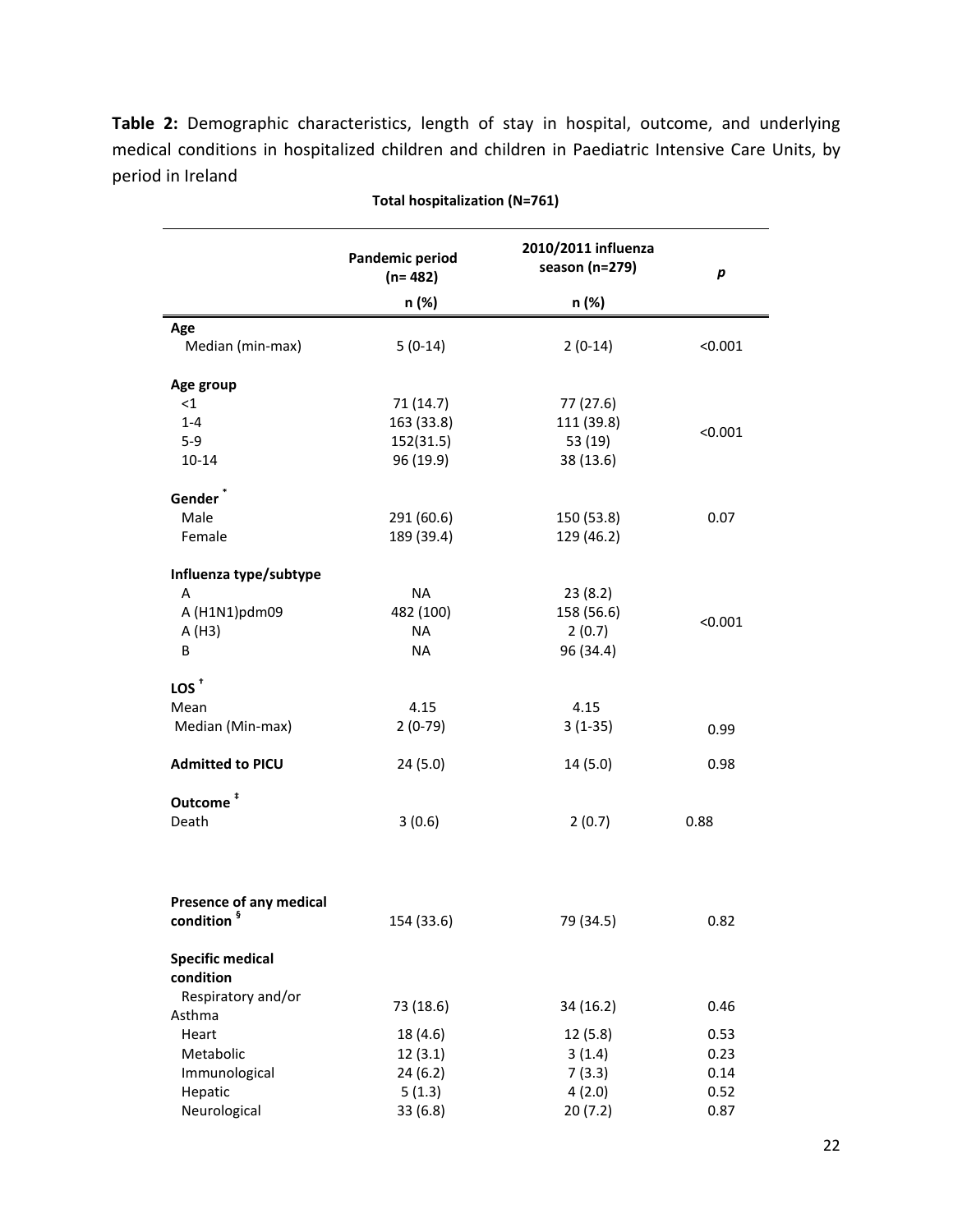**Table 2:** Demographic characteristics, length of stay in hospital, outcome, and underlying medical conditions in hospitalized children and children in Paediatric Intensive Care Units, by period in Ireland

|                                | <b>Pandemic period</b><br>$(n=482)$ | 2010/2011 influenza<br>season (n=279) | $\boldsymbol{p}$ |
|--------------------------------|-------------------------------------|---------------------------------------|------------------|
|                                | n (%)                               | n (%)                                 |                  |
| Age                            |                                     |                                       |                  |
| Median (min-max)               | $5(0-14)$                           | $2(0-14)$                             | < 0.001          |
| Age group                      |                                     |                                       |                  |
| $<$ 1                          | 71(14.7)                            | 77 (27.6)                             |                  |
| $1 - 4$                        | 163 (33.8)                          | 111 (39.8)                            | < 0.001          |
| $5-9$                          | 152(31.5)                           | 53 (19)                               |                  |
| $10 - 14$                      | 96 (19.9)                           | 38 (13.6)                             |                  |
| Gender <sup>'</sup>            |                                     |                                       |                  |
| Male                           | 291 (60.6)                          | 150 (53.8)                            | 0.07             |
| Female                         | 189 (39.4)                          | 129 (46.2)                            |                  |
| Influenza type/subtype         |                                     |                                       |                  |
| A                              | <b>NA</b>                           | 23(8.2)                               |                  |
| A (H1N1)pdm09                  | 482 (100)                           | 158 (56.6)                            | < 0.001          |
| A(H3)                          | <b>NA</b>                           | 2(0.7)                                |                  |
| B                              | <b>NA</b>                           | 96 (34.4)                             |                  |
| $\text{LOS}^+$                 |                                     |                                       |                  |
| Mean                           | 4.15                                | 4.15                                  |                  |
| Median (Min-max)               | $2(0-79)$                           | $3(1-35)$                             | 0.99             |
| <b>Admitted to PICU</b>        | 24(5.0)                             | 14(5.0)                               | 0.98             |
| Outcome <sup>#</sup>           |                                     |                                       |                  |
| Death                          | 3(0.6)                              | 2(0.7)                                | 0.88             |
| <b>Presence of any medical</b> |                                     |                                       |                  |
| condition <sup>§</sup>         | 154 (33.6)                          | 79 (34.5)                             | 0.82             |
| <b>Specific medical</b>        |                                     |                                       |                  |
| condition                      |                                     |                                       |                  |
| Respiratory and/or             | 73 (18.6)                           | 34 (16.2)                             | 0.46             |
| Asthma                         |                                     |                                       |                  |
| Heart                          | 18 (4.6)                            | 12 (5.8)                              | 0.53             |
| Metabolic                      | 12(3.1)                             | 3(1.4)                                | 0.23             |
| Immunological                  | 24(6.2)                             | 7(3.3)                                | 0.14             |
| Hepatic                        | 5(1.3)                              | 4(2.0)                                | 0.52             |
| Neurological                   | 33 (6.8)                            | 20(7.2)                               | 0.87             |

**Total hospitalization (N=761)**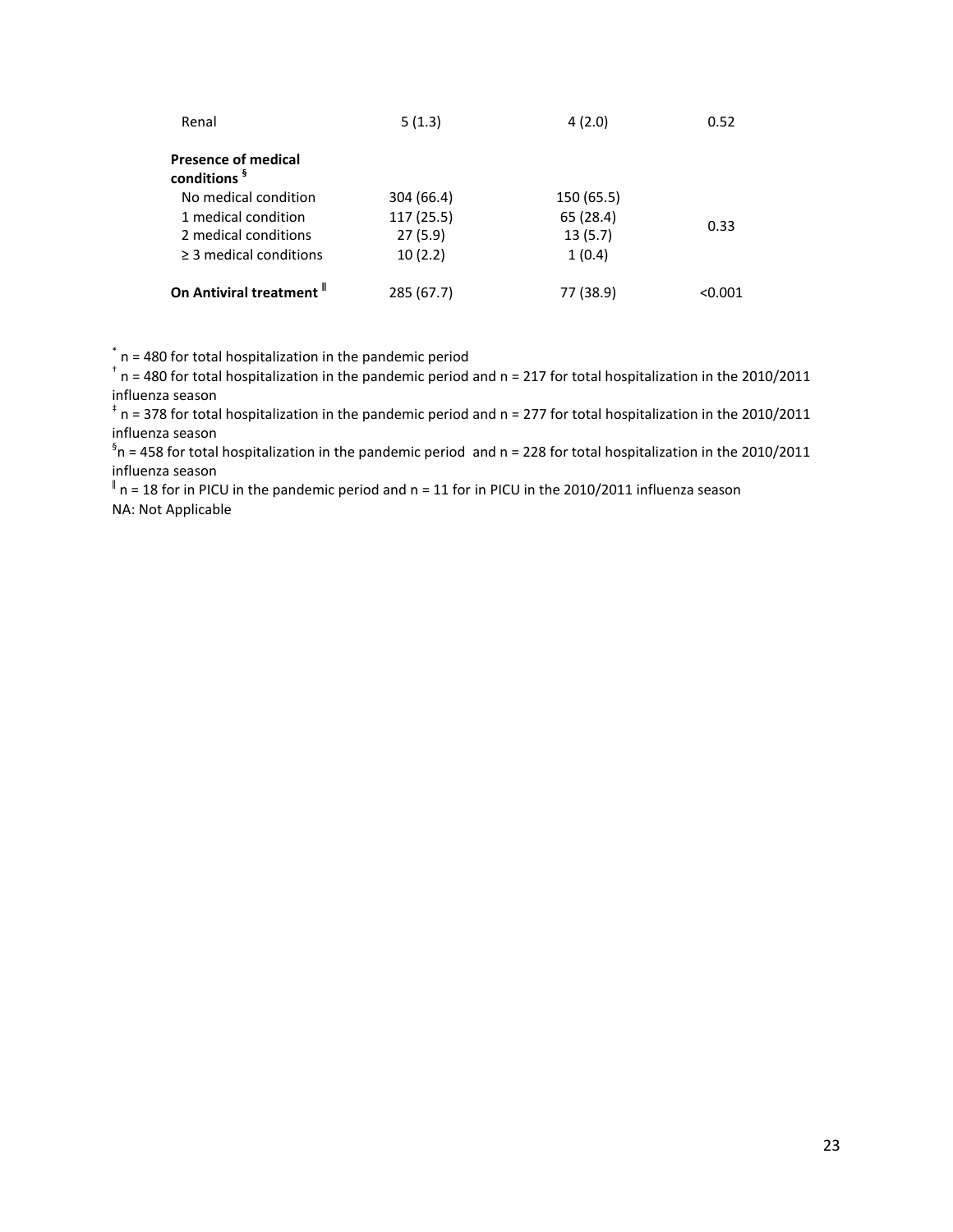| Renal                                                 | 5(1.3)     | 4(2.0)     | 0.52    |
|-------------------------------------------------------|------------|------------|---------|
| <b>Presence of medical</b><br>conditions <sup>§</sup> |            |            |         |
| No medical condition                                  | 304 (66.4) | 150 (65.5) |         |
| 1 medical condition                                   | 117 (25.5) | 65 (28.4)  |         |
| 2 medical conditions                                  | 27(5.9)    | 13(5.7)    | 0.33    |
| $\geq$ 3 medical conditions                           | 10(2.2)    | 1(0.4)     |         |
| On Antiviral treatment "                              | 285 (67.7) | 77 (38.9)  | < 0.001 |

\* n = 480 for total hospitalization in the pandemic period

 $^{\dagger}$  n = 480 for total hospitalization in the pandemic period and n = 217 for total hospitalization in the 2010/2011 influenza season

‡ n = 378 for total hospitalization in the pandemic period and n = 277 for total hospitalization in the 2010/2011 influenza season

 ${}^{\$}$ n = 458 for total hospitalization in the pandemic period and n = 228 for total hospitalization in the 2010/2011 influenza season

 $^{\parallel}$  n = 18 for in PICU in the pandemic period and n = 11 for in PICU in the 2010/2011 influenza season NA: Not Applicable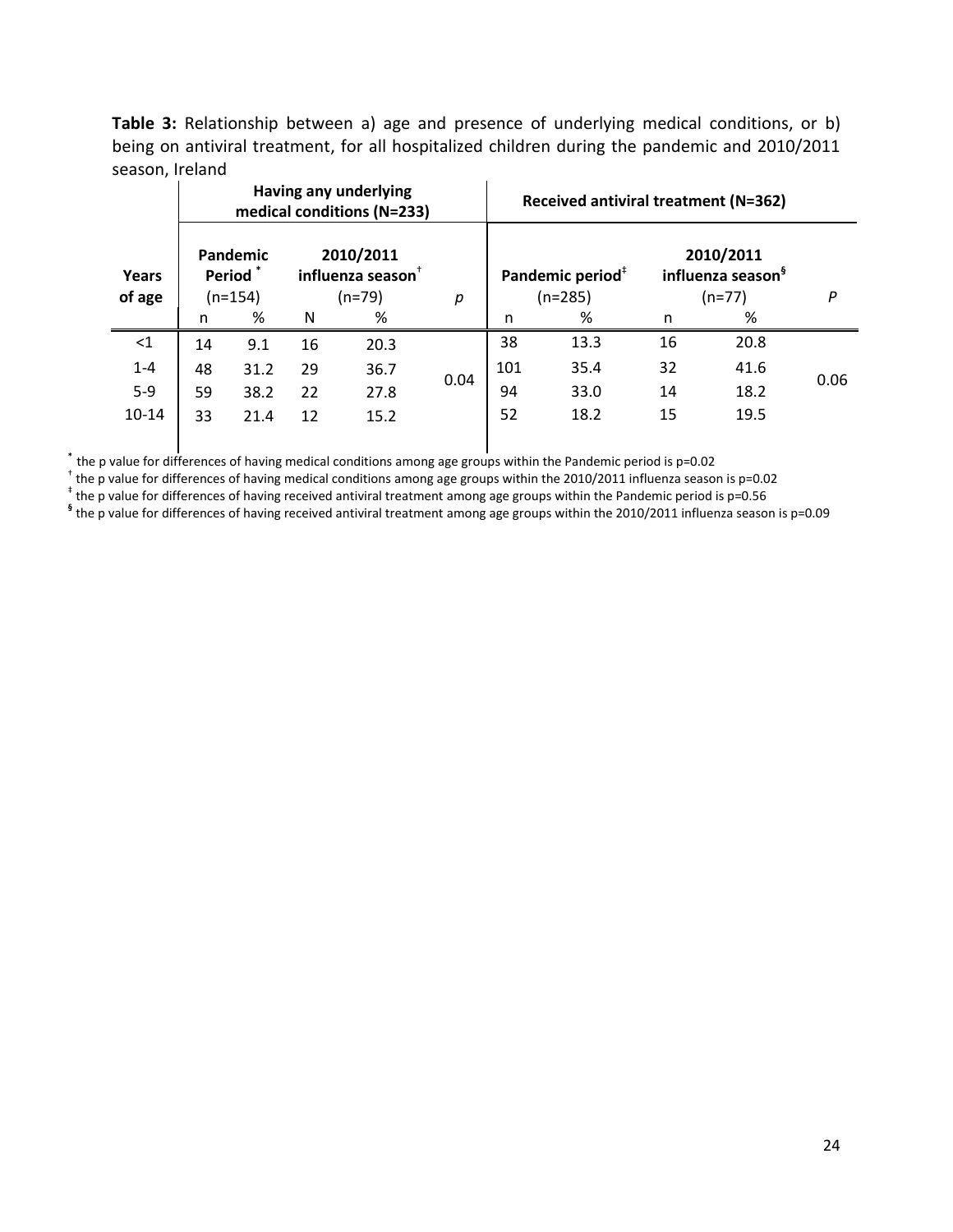**Table 3:** Relationship between a) age and presence of underlying medical conditions, or b) being on antiviral treatment, for all hospitalized children during the pandemic and 2010/2011 season, Ireland

|                 |                                        |      |                                           | Having any underlying<br>medical conditions (N=233) |      | Received antiviral treatment (N=362) |                                           |                                                        |      |      |
|-----------------|----------------------------------------|------|-------------------------------------------|-----------------------------------------------------|------|--------------------------------------|-------------------------------------------|--------------------------------------------------------|------|------|
| Years<br>of age | Pandemic<br><b>Period</b><br>$(n=154)$ |      | 2010/2011<br>influenza season<br>$(n=79)$ |                                                     | р    |                                      | Pandemic period <sup>#</sup><br>$(n=285)$ | 2010/2011<br>influenza season <sup>9</sup><br>$(n=77)$ | P    |      |
|                 | n                                      | %    | N                                         | %                                                   |      | n                                    | %                                         | n                                                      | %    |      |
| $\leq$ 1        | 14                                     | 9.1  | 16                                        | 20.3                                                |      | 38                                   | 13.3                                      | 16                                                     | 20.8 |      |
| $1 - 4$         | 48                                     | 31.2 | 29                                        | 36.7                                                |      | 101                                  | 35.4                                      | 32                                                     | 41.6 |      |
| $5-9$           | 59                                     | 38.2 | 22                                        | 27.8                                                | 0.04 | 94                                   | 33.0                                      | 14                                                     | 18.2 | 0.06 |
| $10 - 14$       | 33                                     | 21.4 | 12                                        | 15.2                                                |      | 52                                   | 18.2                                      | 15                                                     | 19.5 |      |
|                 |                                        |      |                                           |                                                     |      |                                      |                                           |                                                        |      |      |

 $^*$  the p value for differences of having medical conditions among age groups within the Pandemic period is p=0.02<br><sup>†</sup> the p value for differences of having medical conditions among age groups within the 2010/2011 influe

‡ the p value for differences of having received antiviral treatment among age groups within the Pandemic period is p=0.56

**§** the p value for differences of having received antiviral treatment among age groups within the 2010/2011 influenza season is p=0.09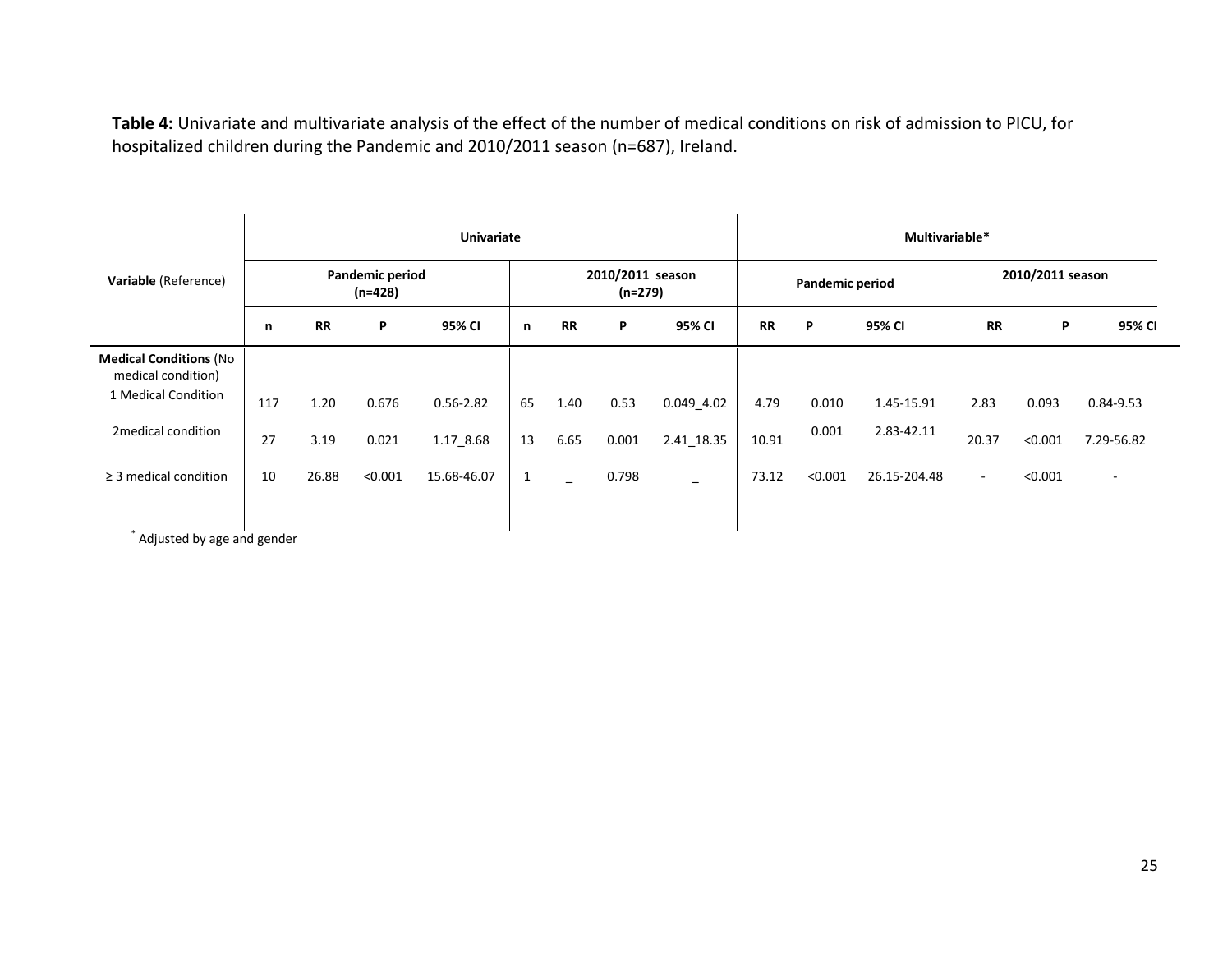**Table 4:** Univariate and multivariate analysis of the effect of the number of medical conditions on risk of admission to PICU, for hospitalized children during the Pandemic and 2010/2011 season (n=687), Ireland.

|                                                     |     | <b>Univariate</b> |                            |               |              |                             |       |                |                 |         | Multivariable* |                          |         |            |  |  |  |
|-----------------------------------------------------|-----|-------------------|----------------------------|---------------|--------------|-----------------------------|-------|----------------|-----------------|---------|----------------|--------------------------|---------|------------|--|--|--|
| Variable (Reference)                                |     |                   | Pandemic period<br>(n=428) |               |              | 2010/2011 season<br>(n=279) |       |                | Pandemic period |         |                | 2010/2011 season         |         |            |  |  |  |
|                                                     | n   | <b>RR</b>         | P                          | 95% CI        | n            | <b>RR</b>                   | P     | 95% CI         | <b>RR</b>       | P       | 95% CI         | <b>RR</b>                | P       | 95% CI     |  |  |  |
| <b>Medical Conditions (No</b><br>medical condition) |     |                   |                            |               |              |                             |       |                |                 |         |                |                          |         |            |  |  |  |
| 1 Medical Condition                                 | 117 | 1.20              | 0.676                      | $0.56 - 2.82$ | 65           | 1.40                        | 0.53  | $0.049 - 4.02$ | 4.79            | 0.010   | 1.45-15.91     | 2.83                     | 0.093   | 0.84-9.53  |  |  |  |
| 2 medical condition                                 | 27  | 3.19              | 0.021                      | 1.17_8.68     | 13           | 6.65                        | 0.001 | 2.41_18.35     | 10.91           | 0.001   | 2.83-42.11     | 20.37                    | < 0.001 | 7.29-56.82 |  |  |  |
| $\geq$ 3 medical condition                          | 10  | 26.88             | < 0.001                    | 15.68-46.07   | $\mathbf{1}$ |                             | 0.798 | -              | 73.12           | < 0.001 | 26.15-204.48   | $\overline{\phantom{a}}$ | < 0.001 | $\sim$     |  |  |  |
|                                                     |     |                   |                            |               |              |                             |       |                |                 |         |                |                          |         |            |  |  |  |
| Adjusted by age and gender                          |     |                   |                            |               |              |                             |       |                |                 |         |                |                          |         |            |  |  |  |